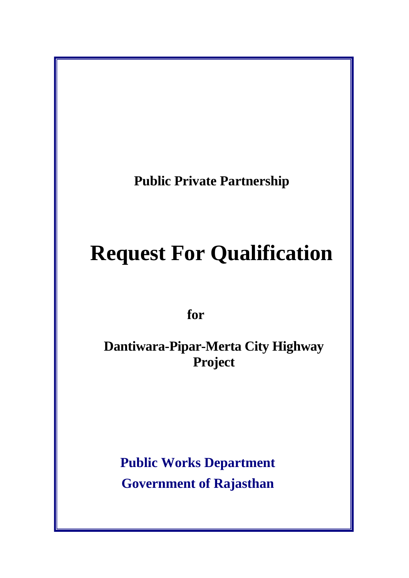**Public Private Partnership** 

# **Request For Qualification**

 **for** 

**Dantiwara-Pipar-Merta City Highway Project** 

**Public Works Department Government of Rajasthan**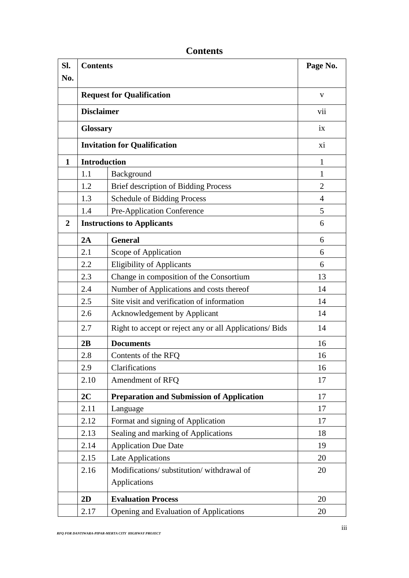| Sl.              | <b>Contents</b>                   |                                                         | Page No.       |
|------------------|-----------------------------------|---------------------------------------------------------|----------------|
| No.              |                                   |                                                         |                |
|                  | <b>Request for Qualification</b>  |                                                         | V              |
|                  | <b>Disclaimer</b>                 |                                                         | vii            |
|                  |                                   | <b>Glossary</b>                                         |                |
|                  |                                   | <b>Invitation for Qualification</b>                     |                |
| $\mathbf{1}$     |                                   | <b>Introduction</b>                                     |                |
|                  | 1.1                               | Background                                              | 1              |
|                  | 1.2                               | Brief description of Bidding Process                    | $\overline{2}$ |
|                  | 1.3                               | <b>Schedule of Bidding Process</b>                      | $\overline{4}$ |
|                  | 1.4                               | Pre-Application Conference                              | 5              |
| $\boldsymbol{2}$ | <b>Instructions to Applicants</b> |                                                         | 6              |
|                  | 2A                                | <b>General</b>                                          | 6              |
|                  | 2.1                               | Scope of Application                                    | 6              |
|                  | 2.2                               | <b>Eligibility of Applicants</b>                        | 6              |
|                  | 2.3                               | Change in composition of the Consortium                 | 13             |
|                  | 2.4                               | Number of Applications and costs thereof                | 14             |
|                  | 2.5                               | Site visit and verification of information              | 14             |
|                  | 2.6                               | <b>Acknowledgement by Applicant</b>                     | 14             |
|                  | 2.7                               | Right to accept or reject any or all Applications/ Bids | 14             |
|                  | 2B                                | <b>Documents</b>                                        | 16             |
|                  | 2.8                               | Contents of the RFQ                                     | 16             |
|                  | 2.9                               | Clarifications                                          | 16             |
|                  | 2.10                              | Amendment of RFQ                                        | 17             |
|                  | 2C                                | <b>Preparation and Submission of Application</b>        | 17             |
|                  | 2.11                              | Language                                                | 17             |
|                  | 2.12                              | Format and signing of Application                       | 17             |
|                  | 2.13                              | Sealing and marking of Applications                     | 18             |
|                  | 2.14                              | <b>Application Due Date</b>                             | 19             |
|                  | 2.15                              | Late Applications                                       | 20             |
|                  | 2.16                              | Modifications/ substitution/ withdrawal of              | 20             |
|                  |                                   | Applications                                            |                |
|                  | 2D                                | <b>Evaluation Process</b>                               | 20             |
|                  | 2.17                              | Opening and Evaluation of Applications                  | 20             |

**Contents**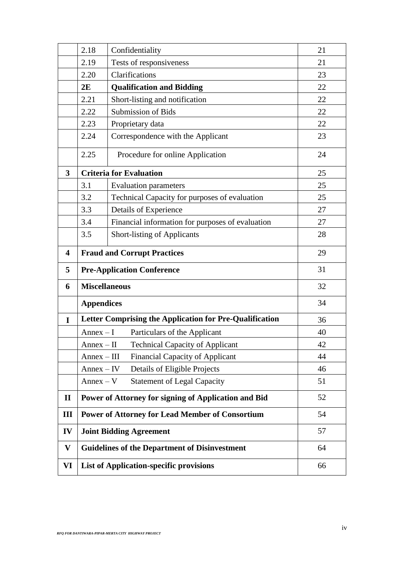|              | 2.18                                                    | Confidentiality                                        | 21 |
|--------------|---------------------------------------------------------|--------------------------------------------------------|----|
|              | 2.19                                                    | Tests of responsiveness                                | 21 |
|              | 2.20                                                    | Clarifications                                         | 23 |
|              | 2E                                                      | <b>Qualification and Bidding</b>                       | 22 |
|              | 2.21                                                    | Short-listing and notification                         | 22 |
|              | 2.22                                                    | Submission of Bids                                     | 22 |
|              | 2.23                                                    | Proprietary data                                       | 22 |
|              | 2.24                                                    | Correspondence with the Applicant                      | 23 |
|              | 2.25                                                    | Procedure for online Application                       | 24 |
| 3            |                                                         | <b>Criteria for Evaluation</b>                         | 25 |
|              | 3.1                                                     | <b>Evaluation parameters</b>                           | 25 |
|              | 3.2                                                     | Technical Capacity for purposes of evaluation          | 25 |
|              | 3.3                                                     | Details of Experience                                  | 27 |
|              | 3.4                                                     | Financial information for purposes of evaluation       | 27 |
|              | 3.5                                                     | <b>Short-listing of Applicants</b>                     | 28 |
| 4            | <b>Fraud and Corrupt Practices</b>                      |                                                        | 29 |
| 5            |                                                         | <b>Pre-Application Conference</b>                      | 31 |
| 6            | <b>Miscellaneous</b>                                    |                                                        | 32 |
|              | <b>Appendices</b>                                       |                                                        | 34 |
| $\mathbf I$  | Letter Comprising the Application for Pre-Qualification | 36                                                     |    |
|              | $Annex-I$                                               | Particulars of the Applicant                           | 40 |
|              | $Annex-II$                                              | <b>Technical Capacity of Applicant</b>                 | 42 |
|              | $Annex - III$                                           | <b>Financial Capacity of Applicant</b>                 | 44 |
|              | $Annex - IV$                                            | Details of Eligible Projects                           | 46 |
|              | $Annex - V$                                             | <b>Statement of Legal Capacity</b>                     | 51 |
| $\mathbf{I}$ |                                                         | Power of Attorney for signing of Application and Bid   | 52 |
| Ш            |                                                         | <b>Power of Attorney for Lead Member of Consortium</b> | 54 |
| IV           |                                                         | <b>Joint Bidding Agreement</b>                         | 57 |
| V            |                                                         | <b>Guidelines of the Department of Disinvestment</b>   | 64 |
| VI           | <b>List of Application-specific provisions</b>          |                                                        | 66 |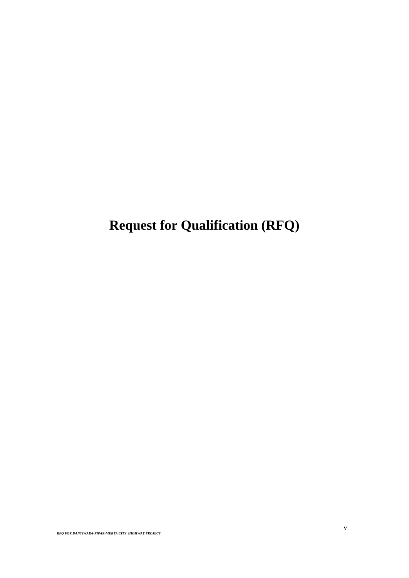**Request for Qualification (RFQ)**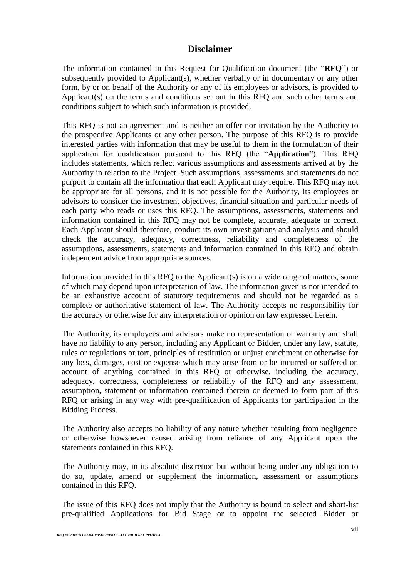## **Disclaimer**

The information contained in this Request for Qualification document (the "**RFQ**") or subsequently provided to Applicant(s), whether verbally or in documentary or any other form, by or on behalf of the Authority or any of its employees or advisors, is provided to Applicant(s) on the terms and conditions set out in this RFQ and such other terms and conditions subject to which such information is provided.

This RFQ is not an agreement and is neither an offer nor invitation by the Authority to the prospective Applicants or any other person. The purpose of this RFQ is to provide interested parties with information that may be useful to them in the formulation of their application for qualification pursuant to this RFQ (the "**Application**"). This RFQ includes statements, which reflect various assumptions and assessments arrived at by the Authority in relation to the Project. Such assumptions, assessments and statements do not purport to contain all the information that each Applicant may require. This RFQ may not be appropriate for all persons, and it is not possible for the Authority, its employees or advisors to consider the investment objectives, financial situation and particular needs of each party who reads or uses this RFQ. The assumptions, assessments, statements and information contained in this RFQ may not be complete, accurate, adequate or correct. Each Applicant should therefore, conduct its own investigations and analysis and should check the accuracy, adequacy, correctness, reliability and completeness of the assumptions, assessments, statements and information contained in this RFQ and obtain independent advice from appropriate sources.

Information provided in this RFQ to the Applicant(s) is on a wide range of matters, some of which may depend upon interpretation of law. The information given is not intended to be an exhaustive account of statutory requirements and should not be regarded as a complete or authoritative statement of law. The Authority accepts no responsibility for the accuracy or otherwise for any interpretation or opinion on law expressed herein.

The Authority, its employees and advisors make no representation or warranty and shall have no liability to any person, including any Applicant or Bidder, under any law, statute, rules or regulations or tort, principles of restitution or unjust enrichment or otherwise for any loss, damages, cost or expense which may arise from or be incurred or suffered on account of anything contained in this RFQ or otherwise, including the accuracy, adequacy, correctness, completeness or reliability of the RFQ and any assessment, assumption, statement or information contained therein or deemed to form part of this RFQ or arising in any way with pre-qualification of Applicants for participation in the Bidding Process.

The Authority also accepts no liability of any nature whether resulting from negligence or otherwise howsoever caused arising from reliance of any Applicant upon the statements contained in this RFQ.

The Authority may, in its absolute discretion but without being under any obligation to do so, update, amend or supplement the information, assessment or assumptions contained in this RFQ.

The issue of this RFQ does not imply that the Authority is bound to select and short-list pre-qualified Applications for Bid Stage or to appoint the selected Bidder or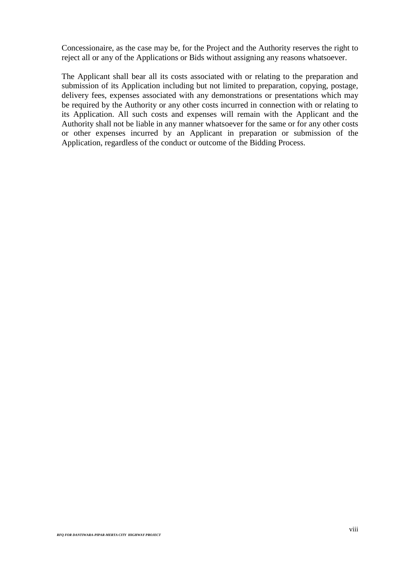Concessionaire, as the case may be, for the Project and the Authority reserves the right to reject all or any of the Applications or Bids without assigning any reasons whatsoever.

The Applicant shall bear all its costs associated with or relating to the preparation and submission of its Application including but not limited to preparation, copying, postage, delivery fees, expenses associated with any demonstrations or presentations which may be required by the Authority or any other costs incurred in connection with or relating to its Application. All such costs and expenses will remain with the Applicant and the Authority shall not be liable in any manner whatsoever for the same or for any other costs or other expenses incurred by an Applicant in preparation or submission of the Application, regardless of the conduct or outcome of the Bidding Process.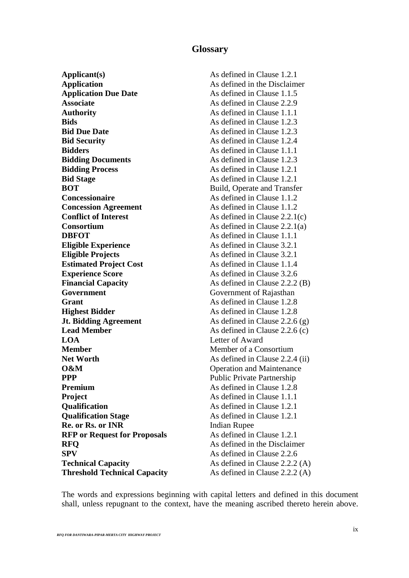## **Glossary**

**Applicant(s)** As defined in Clause 1.2.1 **Application** As defined in the Disclaimer **Application Due Date** As defined in Clause 1.1.5 **Associate** As defined in Clause 2.2.9 **Authority** As defined in Clause 1.1.1 **Bids** As defined in Clause 1.2.3 **Bid Due Date As defined in Clause 1.2.3 Bid Security As defined in Clause 1.2.4 Bidders As defined in Clause 1.1.1 Bidding Documents As defined in Clause 1.2.3 Bidding Process** As defined in Clause 1.2.1 **Bid Stage** As defined in Clause 1.2.1 **BOT** Build, Operate and Transfer **Concessionaire As defined in Clause 1.1.2 Concession Agreement** As defined in Clause 1.1.2 **Conflict of Interest** As defined in Clause 2.2.1(c) **Consortium** As defined in Clause 2.2.1(a) **DBFOT** As defined in Clause 1.1.1 **Eligible Experience** As defined in Clause 3.2.1 **Eligible Projects** As defined in Clause 3.2.1 **Estimated Project Cost** As defined in Clause 1.1.4 **Experience Score** As defined in Clause 3.2.6 **Financial Capacity** As defined in Clause 2.2.2 (B) **Government Government Government** of Rajasthan **Grant** As defined in Clause 1.2.8 **Highest Bidder** As defined in Clause 1.2.8 **Jt. Bidding Agreement** As defined in Clause 2.2.6 (g) **Lead Member** As defined in Clause 2.2.6 (c) **LOA** Letter of Award **Member** Member of a Consortium **Net Worth** As defined in Clause 2.2.4 (ii) **O&M** Operation and Maintenance **PPP** Public Private Partnership **Premium** As defined in Clause 1.2.8 **Project** As defined in Clause 1.1.1 **Qualification** As defined in Clause 1.2.1 **Qualification Stage** As defined in Clause 1.2.1 **Re. or Rs. or INR** Indian Rupee **RFP or Request for Proposals** As defined in Clause 1.2.1 **RFO** As defined in the Disclaimer **SPV** As defined in Clause 2.2.6 **Technical Capacity** As defined in Clause 2.2.2 (A) **Threshold Technical Capacity** As defined in Clause 2.2.2 (A)

The words and expressions beginning with capital letters and defined in this document shall, unless repugnant to the context, have the meaning ascribed thereto herein above.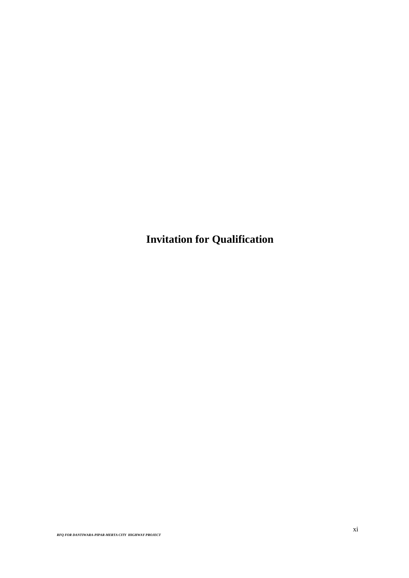**Invitation for Qualification**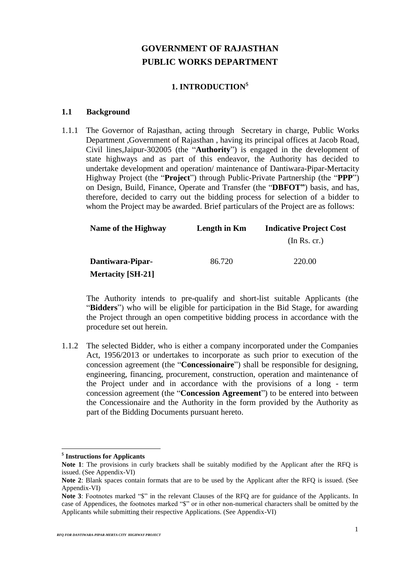## **GOVERNMENT OF RAJASTHAN PUBLIC WORKS DEPARTMENT**

## **1. INTRODUCTION**\$

#### **1.1 Background**

1.1.1 The Governor of Rajasthan, acting through Secretary in charge, Public Works Department ,Government of Rajasthan , having its principal offices at Jacob Road, Civil lines,Jaipur-302005 (the "**Authority**") is engaged in the development of state highways and as part of this endeavor, the Authority has decided to undertake development and operation/ maintenance of Dantiwara-Pipar-Mertacity Highway Project (the "**Project**") through Public-Private Partnership (the "**PPP**") on Design, Build, Finance, Operate and Transfer (the "**DBFOT"**) basis, and has, therefore, decided to carry out the bidding process for selection of a bidder to whom the Project may be awarded. Brief particulars of the Project are as follows:

| Name of the Highway      | Length in Km | <b>Indicative Project Cost</b> |  |
|--------------------------|--------------|--------------------------------|--|
|                          |              | (In Rs. cr.)                   |  |
| Dantiwara-Pipar-         | 86.720       | 220.00                         |  |
| <b>Mertacity [SH-21]</b> |              |                                |  |

The Authority intends to pre-qualify and short-list suitable Applicants (the "**Bidders**") who will be eligible for participation in the Bid Stage, for awarding the Project through an open competitive bidding process in accordance with the procedure set out herein.

1.1.2 The selected Bidder, who is either a company incorporated under the Companies Act, 1956/2013 or undertakes to incorporate as such prior to execution of the concession agreement (the "**Concessionaire**") shall be responsible for designing, engineering, financing, procurement, construction, operation and maintenance of the Project under and in accordance with the provisions of a long - term concession agreement (the "**Concession Agreement**") to be entered into between the Concessionaire and the Authority in the form provided by the Authority as part of the Bidding Documents pursuant hereto.

<sup>\$</sup> **Instructions for Applicants**

**Note 1**: The provisions in curly brackets shall be suitably modified by the Applicant after the RFQ is issued. (See Appendix-VI)

**Note 2**: Blank spaces contain formats that are to be used by the Applicant after the RFQ is issued. (See Appendix-VI)

Note 3: Footnotes marked "\$" in the relevant Clauses of the RFQ are for guidance of the Applicants. In case of Appendices, the footnotes marked "\$" or in other non-numerical characters shall be omitted by the Applicants while submitting their respective Applications. (See Appendix-VI)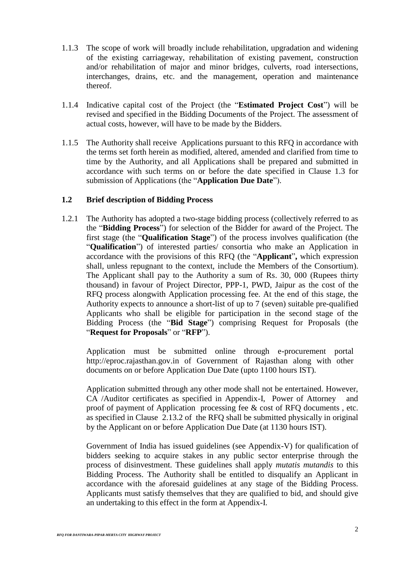- 1.1.3 The scope of work will broadly include rehabilitation, upgradation and widening of the existing carriageway, rehabilitation of existing pavement, construction and/or rehabilitation of major and minor bridges, culverts, road intersections, interchanges, drains, etc. and the management, operation and maintenance thereof.
- 1.1.4 Indicative capital cost of the Project (the "**Estimated Project Cost**") will be revised and specified in the Bidding Documents of the Project. The assessment of actual costs, however, will have to be made by the Bidders.
- 1.1.5 The Authority shall receive Applications pursuant to this RFQ in accordance with the terms set forth herein as modified, altered, amended and clarified from time to time by the Authority, and all Applications shall be prepared and submitted in accordance with such terms on or before the date specified in Clause 1.3 for submission of Applications (the "**Application Due Date**").

#### **1.2 Brief description of Bidding Process**

1.2.1 The Authority has adopted a two-stage bidding process (collectively referred to as the "**Bidding Process**") for selection of the Bidder for award of the Project. The first stage (the "**Qualification Stage**") of the process involves qualification (the "**Qualification**") of interested parties/ consortia who make an Application in accordance with the provisions of this RFQ (the "**Applicant**"**,** which expression shall, unless repugnant to the context, include the Members of the Consortium). The Applicant shall pay to the Authority a sum of Rs. 30, 000 (Rupees thirty thousand) in favour of Project Director, PPP-1, PWD, Jaipur as the cost of the RFQ process alongwith Application processing fee. At the end of this stage, the Authority expects to announce a short-list of up to 7 (seven) suitable pre-qualified Applicants who shall be eligible for participation in the second stage of the Bidding Process (the "**Bid Stage**") comprising Request for Proposals (the "**Request for Proposals**" or "**RFP**").

Application must be submitted online through e-procurement portal http://eproc.rajasthan.gov.in of Government of Rajasthan along with other documents on or before Application Due Date (upto 1100 hours IST).

Application submitted through any other mode shall not be entertained. However, CA /Auditor certificates as specified in Appendix-I, Power of Attorney and proof of payment of Application processing fee & cost of RFQ documents , etc. as specified in Clause 2.13.2 of the RFQ shall be submitted physically in original by the Applicant on or before Application Due Date (at 1130 hours IST).

Government of India has issued guidelines (see Appendix-V) for qualification of bidders seeking to acquire stakes in any public sector enterprise through the process of disinvestment. These guidelines shall apply *mutatis mutandis* to this Bidding Process. The Authority shall be entitled to disqualify an Applicant in accordance with the aforesaid guidelines at any stage of the Bidding Process. Applicants must satisfy themselves that they are qualified to bid, and should give an undertaking to this effect in the form at Appendix-I.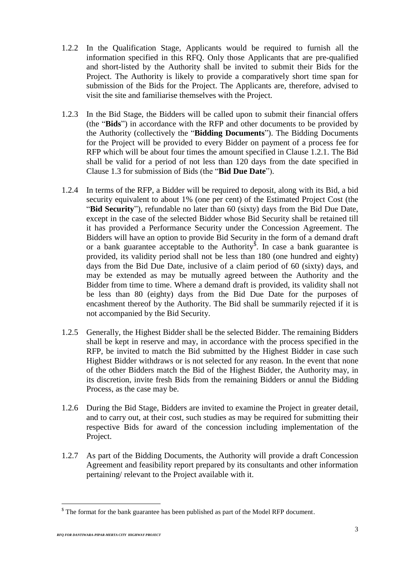- 1.2.2 In the Qualification Stage, Applicants would be required to furnish all the information specified in this RFQ. Only those Applicants that are pre-qualified and short-listed by the Authority shall be invited to submit their Bids for the Project. The Authority is likely to provide a comparatively short time span for submission of the Bids for the Project. The Applicants are, therefore, advised to visit the site and familiarise themselves with the Project.
- 1.2.3 In the Bid Stage, the Bidders will be called upon to submit their financial offers (the "**Bids**") in accordance with the RFP and other documents to be provided by the Authority (collectively the "**Bidding Documents**"). The Bidding Documents for the Project will be provided to every Bidder on payment of a process fee for RFP which will be about four times the amount specified in Clause 1.2.1. The Bid shall be valid for a period of not less than 120 days from the date specified in Clause 1.3 for submission of Bids (the "**Bid Due Date**").
- 1.2.4 In terms of the RFP, a Bidder will be required to deposit, along with its Bid, a bid security equivalent to about 1% (one per cent) of the Estimated Project Cost (the "**Bid Security**"), refundable no later than 60 (sixty) days from the Bid Due Date, except in the case of the selected Bidder whose Bid Security shall be retained till it has provided a Performance Security under the Concession Agreement. The Bidders will have an option to provide Bid Security in the form of a demand draft or a bank guarantee acceptable to the Authority<sup>§</sup>. In case a bank guarantee is provided, its validity period shall not be less than 180 (one hundred and eighty) days from the Bid Due Date, inclusive of a claim period of 60 (sixty) days, and may be extended as may be mutually agreed between the Authority and the Bidder from time to time. Where a demand draft is provided, its validity shall not be less than 80 (eighty) days from the Bid Due Date for the purposes of encashment thereof by the Authority. The Bid shall be summarily rejected if it is not accompanied by the Bid Security.
- 1.2.5 Generally, the Highest Bidder shall be the selected Bidder. The remaining Bidders shall be kept in reserve and may, in accordance with the process specified in the RFP, be invited to match the Bid submitted by the Highest Bidder in case such Highest Bidder withdraws or is not selected for any reason. In the event that none of the other Bidders match the Bid of the Highest Bidder, the Authority may, in its discretion, invite fresh Bids from the remaining Bidders or annul the Bidding Process, as the case may be.
- 1.2.6 During the Bid Stage, Bidders are invited to examine the Project in greater detail, and to carry out, at their cost, such studies as may be required for submitting their respective Bids for award of the concession including implementation of the Project.
- 1.2.7 As part of the Bidding Documents, the Authority will provide a draft Concession Agreement and feasibility report prepared by its consultants and other information pertaining/ relevant to the Project available with it.

 $$$  The format for the bank guarantee has been published as part of the Model RFP document.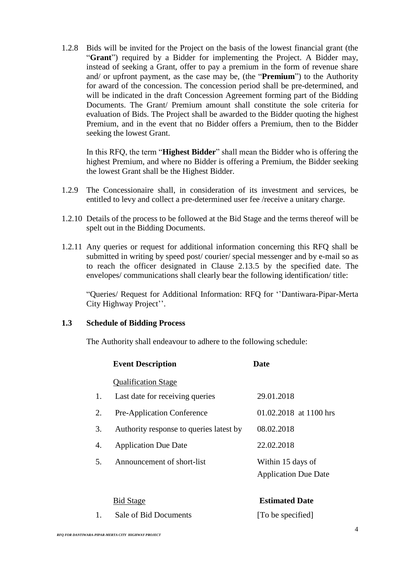1.2.8 Bids will be invited for the Project on the basis of the lowest financial grant (the "**Grant**") required by a Bidder for implementing the Project. A Bidder may, instead of seeking a Grant, offer to pay a premium in the form of revenue share and/ or upfront payment, as the case may be, (the "**Premium**") to the Authority for award of the concession. The concession period shall be pre-determined, and will be indicated in the draft Concession Agreement forming part of the Bidding Documents. The Grant/ Premium amount shall constitute the sole criteria for evaluation of Bids. The Project shall be awarded to the Bidder quoting the highest Premium, and in the event that no Bidder offers a Premium, then to the Bidder seeking the lowest Grant.

In this RFQ, the term "**Highest Bidder**" shall mean the Bidder who is offering the highest Premium, and where no Bidder is offering a Premium, the Bidder seeking the lowest Grant shall be the Highest Bidder.

- 1.2.9 The Concessionaire shall, in consideration of its investment and services, be entitled to levy and collect a pre-determined user fee /receive a unitary charge.
- 1.2.10 Details of the process to be followed at the Bid Stage and the terms thereof will be spelt out in the Bidding Documents.
- 1.2.11 Any queries or request for additional information concerning this RFQ shall be submitted in writing by speed post/ courier/ special messenger and by e-mail so as to reach the officer designated in Clause 2.13.5 by the specified date. The envelopes/ communications shall clearly bear the following identification/ title:

"Queries/ Request for Additional Information: RFQ for ''Dantiwara-Pipar-Merta City Highway Project''.

## **1.3 Schedule of Bidding Process**

The Authority shall endeavour to adhere to the following schedule:

|    | <b>Event Description</b>                | <b>Date</b>                                      |
|----|-----------------------------------------|--------------------------------------------------|
|    | <b>Qualification Stage</b>              |                                                  |
| 1. | Last date for receiving queries         | 29.01.2018                                       |
| 2. | <b>Pre-Application Conference</b>       | 01.02.2018 at 1100 hrs                           |
| 3. | Authority response to queries latest by | 08.02.2018                                       |
| 4. | <b>Application Due Date</b>             | 22.02.2018                                       |
| 5. | Announcement of short-list              | Within 15 days of<br><b>Application Due Date</b> |
|    |                                         |                                                  |

| <b>Bid Stage</b>      | <b>Estimated Date</b> |  |
|-----------------------|-----------------------|--|
| Sale of Bid Documents | [To be specified]     |  |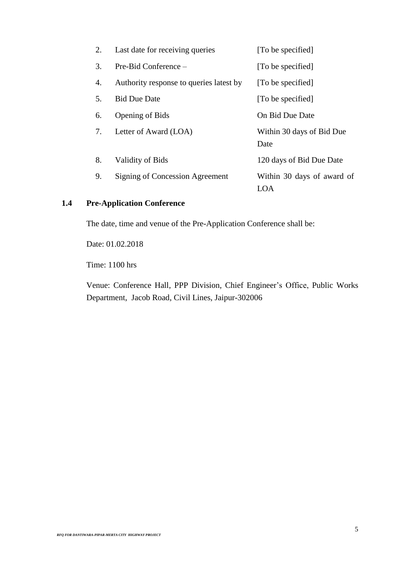| 2. | Last date for receiving queries         | [To be specified]                 |
|----|-----------------------------------------|-----------------------------------|
| 3. | Pre-Bid Conference –                    | [To be specified]                 |
| 4. | Authority response to queries latest by | [To be specified]                 |
| 5. | <b>Bid Due Date</b>                     | [To be specified]                 |
| 6. | <b>Opening of Bids</b>                  | On Bid Due Date                   |
| 7. | Letter of Award (LOA)                   | Within 30 days of Bid Due<br>Date |
| 8. | Validity of Bids                        | 120 days of Bid Due Date          |
| 9. | Signing of Concession Agreement         | Within 30 days of award of<br>LOA |

## **1.4 Pre-Application Conference**

The date, time and venue of the Pre-Application Conference shall be:

Date: 01.02.2018

Time: 1100 hrs

Venue: Conference Hall, PPP Division, Chief Engineer's Office, Public Works Department, Jacob Road, Civil Lines, Jaipur-302006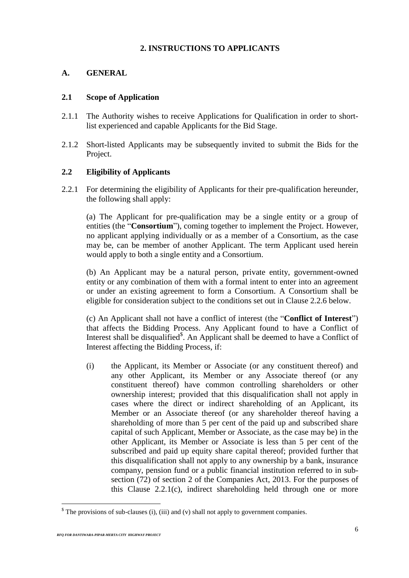## **2. INSTRUCTIONS TO APPLICANTS**

## **A. GENERAL**

## **2.1 Scope of Application**

- 2.1.1 The Authority wishes to receive Applications for Qualification in order to shortlist experienced and capable Applicants for the Bid Stage.
- 2.1.2 Short-listed Applicants may be subsequently invited to submit the Bids for the Project.

## **2.2 Eligibility of Applicants**

2.2.1 For determining the eligibility of Applicants for their pre-qualification hereunder, the following shall apply:

(a) The Applicant for pre-qualification may be a single entity or a group of entities (the "**Consortium**"), coming together to implement the Project. However, no applicant applying individually or as a member of a Consortium, as the case may be, can be member of another Applicant. The term Applicant used herein would apply to both a single entity and a Consortium.

(b) An Applicant may be a natural person, private entity, government-owned entity or any combination of them with a formal intent to enter into an agreement or under an existing agreement to form a Consortium. A Consortium shall be eligible for consideration subject to the conditions set out in Clause 2.2.6 below.

(c) An Applicant shall not have a conflict of interest (the "**Conflict of Interest**") that affects the Bidding Process. Any Applicant found to have a Conflict of Interest shall be disqualified<sup>\$</sup>. An Applicant shall be deemed to have a Conflict of Interest affecting the Bidding Process, if:

(i) the Applicant, its Member or Associate (or any constituent thereof) and any other Applicant, its Member or any Associate thereof (or any constituent thereof) have common controlling shareholders or other ownership interest; provided that this disqualification shall not apply in cases where the direct or indirect shareholding of an Applicant, its Member or an Associate thereof (or any shareholder thereof having a shareholding of more than 5 per cent of the paid up and subscribed share capital of such Applicant, Member or Associate, as the case may be) in the other Applicant, its Member or Associate is less than 5 per cent of the subscribed and paid up equity share capital thereof; provided further that this disqualification shall not apply to any ownership by a bank, insurance company, pension fund or a public financial institution referred to in subsection (72) of section 2 of the Companies Act, 2013. For the purposes of this Clause 2.2.1(c), indirect shareholding held through one or more

 $\textsuperscript{s}$  The provisions of sub-clauses (i), (iii) and (v) shall not apply to government companies.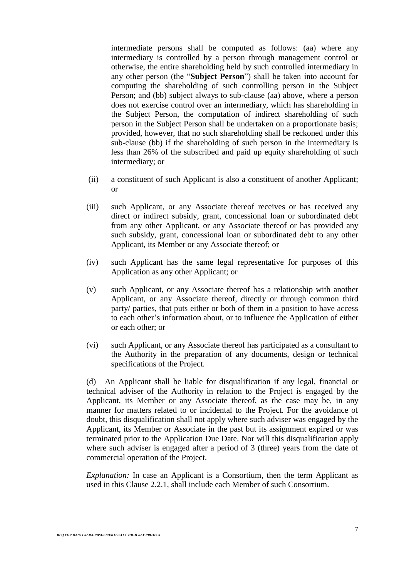intermediate persons shall be computed as follows: (aa) where any intermediary is controlled by a person through management control or otherwise, the entire shareholding held by such controlled intermediary in any other person (the "**Subject Person**") shall be taken into account for computing the shareholding of such controlling person in the Subject Person; and (bb) subject always to sub-clause (aa) above, where a person does not exercise control over an intermediary, which has shareholding in the Subject Person, the computation of indirect shareholding of such person in the Subject Person shall be undertaken on a proportionate basis; provided, however, that no such shareholding shall be reckoned under this sub-clause (bb) if the shareholding of such person in the intermediary is less than 26% of the subscribed and paid up equity shareholding of such intermediary; or

- (ii) a constituent of such Applicant is also a constituent of another Applicant; or
- (iii) such Applicant, or any Associate thereof receives or has received any direct or indirect subsidy, grant, concessional loan or subordinated debt from any other Applicant, or any Associate thereof or has provided any such subsidy, grant, concessional loan or subordinated debt to any other Applicant, its Member or any Associate thereof; or
- (iv) such Applicant has the same legal representative for purposes of this Application as any other Applicant; or
- (v) such Applicant, or any Associate thereof has a relationship with another Applicant, or any Associate thereof, directly or through common third party/ parties, that puts either or both of them in a position to have access to each other's information about, or to influence the Application of either or each other; or
- (vi) such Applicant, or any Associate thereof has participated as a consultant to the Authority in the preparation of any documents, design or technical specifications of the Project.

(d) An Applicant shall be liable for disqualification if any legal, financial or technical adviser of the Authority in relation to the Project is engaged by the Applicant, its Member or any Associate thereof, as the case may be, in any manner for matters related to or incidental to the Project. For the avoidance of doubt, this disqualification shall not apply where such adviser was engaged by the Applicant, its Member or Associate in the past but its assignment expired or was terminated prior to the Application Due Date. Nor will this disqualification apply where such adviser is engaged after a period of 3 (three) years from the date of commercial operation of the Project.

*Explanation:* In case an Applicant is a Consortium, then the term Applicant as used in this Clause 2.2.1, shall include each Member of such Consortium.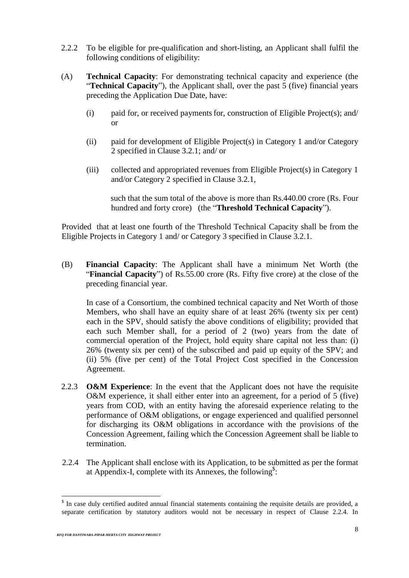- 2.2.2 To be eligible for pre-qualification and short-listing, an Applicant shall fulfil the following conditions of eligibility:
- (A) **Technical Capacity**: For demonstrating technical capacity and experience (the "**Technical Capacity**"), the Applicant shall, over the past 5 (five) financial years preceding the Application Due Date, have:
	- $(i)$  paid for, or received payments for, construction of Eligible Project(s); and/ or
	- (ii) paid for development of Eligible Project(s) in Category 1 and/or Category 2 specified in Clause 3.2.1; and/ or
	- (iii) collected and appropriated revenues from Eligible Project(s) in Category 1 and/or Category 2 specified in Clause 3.2.1,

such that the sum total of the above is more than Rs.440.00 crore (Rs. Four hundred and forty crore) (the "**Threshold Technical Capacity**").

Provided that at least one fourth of the Threshold Technical Capacity shall be from the Eligible Projects in Category 1 and/ or Category 3 specified in Clause 3.2.1.

(B) **Financial Capacity**: The Applicant shall have a minimum Net Worth (the "**Financial Capacity**") of Rs.55.00 crore (Rs. Fifty five crore) at the close of the preceding financial year.

In case of a Consortium, the combined technical capacity and Net Worth of those Members, who shall have an equity share of at least 26% (twenty six per cent) each in the SPV, should satisfy the above conditions of eligibility; provided that each such Member shall, for a period of 2 (two) years from the date of commercial operation of the Project, hold equity share capital not less than: (i) 26% (twenty six per cent) of the subscribed and paid up equity of the SPV; and (ii) 5% (five per cent) of the Total Project Cost specified in the Concession Agreement.

- 2.2.3 **O&M Experience**: In the event that the Applicant does not have the requisite O&M experience, it shall either enter into an agreement, for a period of 5 (five) years from COD, with an entity having the aforesaid experience relating to the performance of O&M obligations, or engage experienced and qualified personnel for discharging its O&M obligations in accordance with the provisions of the Concession Agreement, failing which the Concession Agreement shall be liable to termination.
- 2.2.4 The Applicant shall enclose with its Application, to be submitted as per the format at Appendix-I, complete with its Annexes, the following<sup>\$</sup>:

<sup>&</sup>lt;sup>\$</sup> In case duly certified audited annual financial statements containing the requisite details are provided, a separate certification by statutory auditors would not be necessary in respect of Clause 2.2.4. In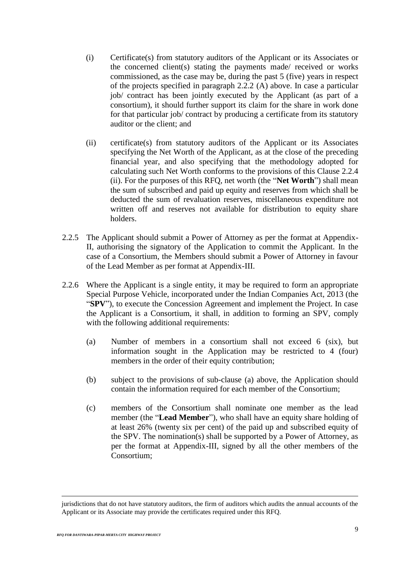- (i) Certificate(s) from statutory auditors of the Applicant or its Associates or the concerned client(s) stating the payments made/ received or works commissioned, as the case may be, during the past 5 (five) years in respect of the projects specified in paragraph 2.2.2 (A) above. In case a particular job/ contract has been jointly executed by the Applicant (as part of a consortium), it should further support its claim for the share in work done for that particular job/ contract by producing a certificate from its statutory auditor or the client; and
- (ii) certificate(s) from statutory auditors of the Applicant or its Associates specifying the Net Worth of the Applicant, as at the close of the preceding financial year, and also specifying that the methodology adopted for calculating such Net Worth conforms to the provisions of this Clause 2.2.4 (ii). For the purposes of this RFQ, net worth (the "**Net Worth**") shall mean the sum of subscribed and paid up equity and reserves from which shall be deducted the sum of revaluation reserves, miscellaneous expenditure not written off and reserves not available for distribution to equity share holders.
- 2.2.5 The Applicant should submit a Power of Attorney as per the format at Appendix-II, authorising the signatory of the Application to commit the Applicant. In the case of a Consortium, the Members should submit a Power of Attorney in favour of the Lead Member as per format at Appendix-III.
- 2.2.6 Where the Applicant is a single entity, it may be required to form an appropriate Special Purpose Vehicle, incorporated under the Indian Companies Act, 2013 (the "**SPV**"), to execute the Concession Agreement and implement the Project. In case the Applicant is a Consortium, it shall, in addition to forming an SPV, comply with the following additional requirements:
	- (a) Number of members in a consortium shall not exceed 6 (six), but information sought in the Application may be restricted to 4 (four) members in the order of their equity contribution;
	- (b) subject to the provisions of sub-clause (a) above, the Application should contain the information required for each member of the Consortium;
	- (c) members of the Consortium shall nominate one member as the lead member (the "**Lead Member**"), who shall have an equity share holding of at least 26% (twenty six per cent) of the paid up and subscribed equity of the SPV. The nomination(s) shall be supported by a Power of Attorney, as per the format at Appendix-III, signed by all the other members of the Consortium;

1

jurisdictions that do not have statutory auditors, the firm of auditors which audits the annual accounts of the Applicant or its Associate may provide the certificates required under this RFQ.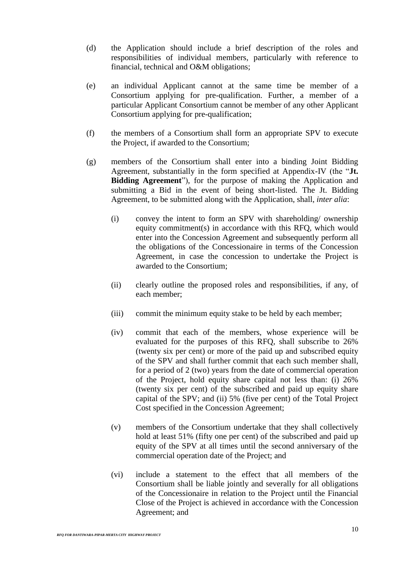- (d) the Application should include a brief description of the roles and responsibilities of individual members, particularly with reference to financial, technical and O&M obligations;
- (e) an individual Applicant cannot at the same time be member of a Consortium applying for pre-qualification. Further, a member of a particular Applicant Consortium cannot be member of any other Applicant Consortium applying for pre-qualification;
- (f) the members of a Consortium shall form an appropriate SPV to execute the Project, if awarded to the Consortium;
- (g) members of the Consortium shall enter into a binding Joint Bidding Agreement, substantially in the form specified at Appendix-IV (the "**Jt. Bidding Agreement**"), for the purpose of making the Application and submitting a Bid in the event of being short-listed. The Jt. Bidding Agreement, to be submitted along with the Application, shall, *inter alia*:
	- (i) convey the intent to form an SPV with shareholding/ ownership equity commitment(s) in accordance with this RFQ, which would enter into the Concession Agreement and subsequently perform all the obligations of the Concessionaire in terms of the Concession Agreement, in case the concession to undertake the Project is awarded to the Consortium;
	- (ii) clearly outline the proposed roles and responsibilities, if any, of each member;
	- (iii) commit the minimum equity stake to be held by each member;
	- (iv) commit that each of the members, whose experience will be evaluated for the purposes of this RFQ, shall subscribe to 26% (twenty six per cent) or more of the paid up and subscribed equity of the SPV and shall further commit that each such member shall, for a period of 2 (two) years from the date of commercial operation of the Project, hold equity share capital not less than: (i) 26% (twenty six per cent) of the subscribed and paid up equity share capital of the SPV; and (ii) 5% (five per cent) of the Total Project Cost specified in the Concession Agreement;
	- (v) members of the Consortium undertake that they shall collectively hold at least 51% (fifty one per cent) of the subscribed and paid up equity of the SPV at all times until the second anniversary of the commercial operation date of the Project; and
	- (vi) include a statement to the effect that all members of the Consortium shall be liable jointly and severally for all obligations of the Concessionaire in relation to the Project until the Financial Close of the Project is achieved in accordance with the Concession Agreement; and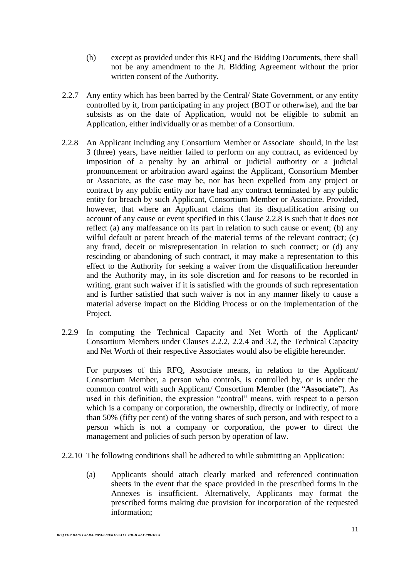- (h) except as provided under this RFQ and the Bidding Documents, there shall not be any amendment to the Jt. Bidding Agreement without the prior written consent of the Authority.
- 2.2.7 Any entity which has been barred by the Central/ State Government, or any entity controlled by it, from participating in any project (BOT or otherwise), and the bar subsists as on the date of Application, would not be eligible to submit an Application, either individually or as member of a Consortium.
- 2.2.8 An Applicant including any Consortium Member or Associate should, in the last 3 (three) years, have neither failed to perform on any contract, as evidenced by imposition of a penalty by an arbitral or judicial authority or a judicial pronouncement or arbitration award against the Applicant, Consortium Member or Associate, as the case may be, nor has been expelled from any project or contract by any public entity nor have had any contract terminated by any public entity for breach by such Applicant, Consortium Member or Associate. Provided, however, that where an Applicant claims that its disqualification arising on account of any cause or event specified in this Clause 2.2.8 is such that it does not reflect (a) any malfeasance on its part in relation to such cause or event; (b) any wilful default or patent breach of the material terms of the relevant contract; (c) any fraud, deceit or misrepresentation in relation to such contract; or (d) any rescinding or abandoning of such contract, it may make a representation to this effect to the Authority for seeking a waiver from the disqualification hereunder and the Authority may, in its sole discretion and for reasons to be recorded in writing, grant such waiver if it is satisfied with the grounds of such representation and is further satisfied that such waiver is not in any manner likely to cause a material adverse impact on the Bidding Process or on the implementation of the Project.
- 2.2.9 In computing the Technical Capacity and Net Worth of the Applicant/ Consortium Members under Clauses 2.2.2, 2.2.4 and 3.2, the Technical Capacity and Net Worth of their respective Associates would also be eligible hereunder.

For purposes of this RFQ, Associate means, in relation to the Applicant/ Consortium Member, a person who controls, is controlled by, or is under the common control with such Applicant/ Consortium Member (the "**Associate**"). As used in this definition, the expression "control" means, with respect to a person which is a company or corporation, the ownership, directly or indirectly, of more than 50% (fifty per cent) of the voting shares of such person, and with respect to a person which is not a company or corporation, the power to direct the management and policies of such person by operation of law.

- 2.2.10 The following conditions shall be adhered to while submitting an Application:
	- (a) Applicants should attach clearly marked and referenced continuation sheets in the event that the space provided in the prescribed forms in the Annexes is insufficient. Alternatively, Applicants may format the prescribed forms making due provision for incorporation of the requested information;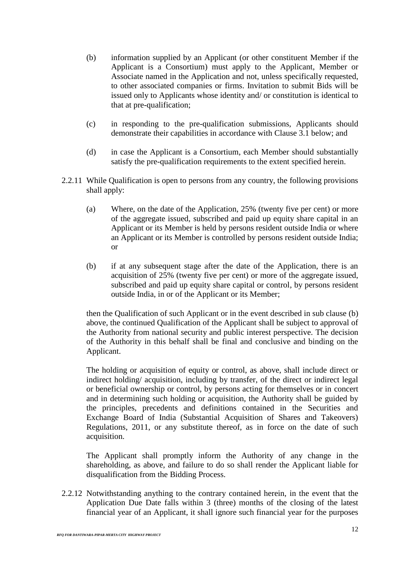- (b) information supplied by an Applicant (or other constituent Member if the Applicant is a Consortium) must apply to the Applicant, Member or Associate named in the Application and not, unless specifically requested, to other associated companies or firms. Invitation to submit Bids will be issued only to Applicants whose identity and/ or constitution is identical to that at pre-qualification;
- (c) in responding to the pre-qualification submissions, Applicants should demonstrate their capabilities in accordance with Clause 3.1 below; and
- (d) in case the Applicant is a Consortium, each Member should substantially satisfy the pre-qualification requirements to the extent specified herein.
- 2.2.11 While Qualification is open to persons from any country, the following provisions shall apply:
	- (a) Where, on the date of the Application, 25% (twenty five per cent) or more of the aggregate issued, subscribed and paid up equity share capital in an Applicant or its Member is held by persons resident outside India or where an Applicant or its Member is controlled by persons resident outside India; or
	- (b) if at any subsequent stage after the date of the Application, there is an acquisition of 25% (twenty five per cent) or more of the aggregate issued, subscribed and paid up equity share capital or control, by persons resident outside India, in or of the Applicant or its Member;

then the Qualification of such Applicant or in the event described in sub clause (b) above, the continued Qualification of the Applicant shall be subject to approval of the Authority from national security and public interest perspective. The decision of the Authority in this behalf shall be final and conclusive and binding on the Applicant.

The holding or acquisition of equity or control, as above, shall include direct or indirect holding/ acquisition, including by transfer, of the direct or indirect legal or beneficial ownership or control, by persons acting for themselves or in concert and in determining such holding or acquisition, the Authority shall be guided by the principles, precedents and definitions contained in the Securities and Exchange Board of India (Substantial Acquisition of Shares and Takeovers) Regulations, 2011, or any substitute thereof, as in force on the date of such acquisition.

The Applicant shall promptly inform the Authority of any change in the shareholding, as above, and failure to do so shall render the Applicant liable for disqualification from the Bidding Process.

2.2.12 Notwithstanding anything to the contrary contained herein, in the event that the Application Due Date falls within 3 (three) months of the closing of the latest financial year of an Applicant, it shall ignore such financial year for the purposes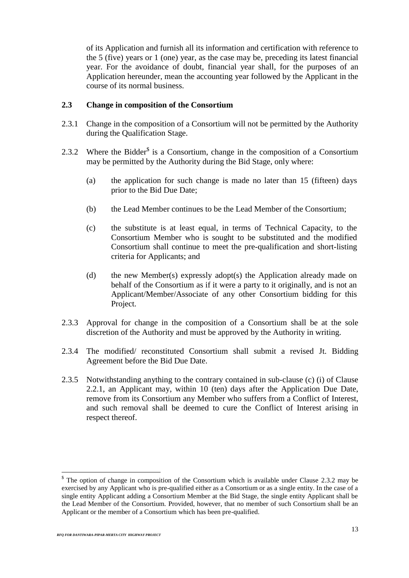of its Application and furnish all its information and certification with reference to the 5 (five) years or 1 (one) year, as the case may be, preceding its latest financial year. For the avoidance of doubt, financial year shall, for the purposes of an Application hereunder, mean the accounting year followed by the Applicant in the course of its normal business.

#### **2.3 Change in composition of the Consortium**

- 2.3.1 Change in the composition of a Consortium will not be permitted by the Authority during the Qualification Stage.
- 2.3.2 Where the Bidder<sup>\$</sup> is a Consortium, change in the composition of a Consortium may be permitted by the Authority during the Bid Stage, only where:
	- (a) the application for such change is made no later than 15 (fifteen) days prior to the Bid Due Date;
	- (b) the Lead Member continues to be the Lead Member of the Consortium;
	- (c) the substitute is at least equal, in terms of Technical Capacity, to the Consortium Member who is sought to be substituted and the modified Consortium shall continue to meet the pre-qualification and short-listing criteria for Applicants; and
	- (d) the new Member(s) expressly adopt(s) the Application already made on behalf of the Consortium as if it were a party to it originally, and is not an Applicant/Member/Associate of any other Consortium bidding for this Project.
- 2.3.3 Approval for change in the composition of a Consortium shall be at the sole discretion of the Authority and must be approved by the Authority in writing.
- 2.3.4 The modified/ reconstituted Consortium shall submit a revised Jt. Bidding Agreement before the Bid Due Date.
- 2.3.5 Notwithstanding anything to the contrary contained in sub-clause (c) (i) of Clause 2.2.1, an Applicant may, within 10 (ten) days after the Application Due Date, remove from its Consortium any Member who suffers from a Conflict of Interest, and such removal shall be deemed to cure the Conflict of Interest arising in respect thereof.

<sup>&</sup>lt;sup>§</sup> The option of change in composition of the Consortium which is available under Clause 2.3.2 may be exercised by any Applicant who is pre-qualified either as a Consortium or as a single entity. In the case of a single entity Applicant adding a Consortium Member at the Bid Stage, the single entity Applicant shall be the Lead Member of the Consortium. Provided, however, that no member of such Consortium shall be an Applicant or the member of a Consortium which has been pre-qualified.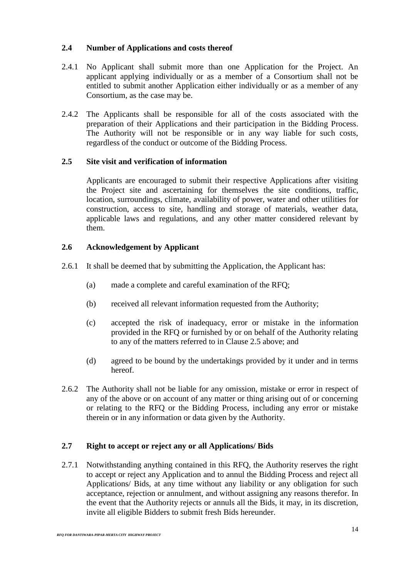## **2.4 Number of Applications and costs thereof**

- 2.4.1 No Applicant shall submit more than one Application for the Project. An applicant applying individually or as a member of a Consortium shall not be entitled to submit another Application either individually or as a member of any Consortium, as the case may be.
- 2.4.2 The Applicants shall be responsible for all of the costs associated with the preparation of their Applications and their participation in the Bidding Process. The Authority will not be responsible or in any way liable for such costs, regardless of the conduct or outcome of the Bidding Process.

## **2.5 Site visit and verification of information**

Applicants are encouraged to submit their respective Applications after visiting the Project site and ascertaining for themselves the site conditions, traffic, location, surroundings, climate, availability of power, water and other utilities for construction, access to site, handling and storage of materials, weather data, applicable laws and regulations, and any other matter considered relevant by them.

## **2.6 Acknowledgement by Applicant**

- 2.6.1 It shall be deemed that by submitting the Application, the Applicant has:
	- (a) made a complete and careful examination of the RFQ;
	- (b) received all relevant information requested from the Authority;
	- (c) accepted the risk of inadequacy, error or mistake in the information provided in the RFQ or furnished by or on behalf of the Authority relating to any of the matters referred to in Clause 2.5 above; and
	- (d) agreed to be bound by the undertakings provided by it under and in terms hereof.
- 2.6.2 The Authority shall not be liable for any omission, mistake or error in respect of any of the above or on account of any matter or thing arising out of or concerning or relating to the RFQ or the Bidding Process, including any error or mistake therein or in any information or data given by the Authority.

## **2.7 Right to accept or reject any or all Applications/ Bids**

2.7.1 Notwithstanding anything contained in this RFQ, the Authority reserves the right to accept or reject any Application and to annul the Bidding Process and reject all Applications/ Bids, at any time without any liability or any obligation for such acceptance, rejection or annulment, and without assigning any reasons therefor. In the event that the Authority rejects or annuls all the Bids, it may, in its discretion, invite all eligible Bidders to submit fresh Bids hereunder.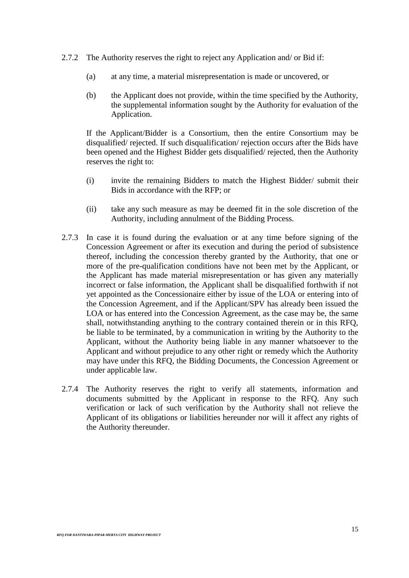- 2.7.2 The Authority reserves the right to reject any Application and/ or Bid if:
	- (a) at any time, a material misrepresentation is made or uncovered, or
	- (b) the Applicant does not provide, within the time specified by the Authority, the supplemental information sought by the Authority for evaluation of the Application.

If the Applicant/Bidder is a Consortium, then the entire Consortium may be disqualified/ rejected. If such disqualification/ rejection occurs after the Bids have been opened and the Highest Bidder gets disqualified/ rejected, then the Authority reserves the right to:

- (i) invite the remaining Bidders to match the Highest Bidder/ submit their Bids in accordance with the RFP; or
- (ii) take any such measure as may be deemed fit in the sole discretion of the Authority, including annulment of the Bidding Process.
- 2.7.3 In case it is found during the evaluation or at any time before signing of the Concession Agreement or after its execution and during the period of subsistence thereof, including the concession thereby granted by the Authority, that one or more of the pre-qualification conditions have not been met by the Applicant, or the Applicant has made material misrepresentation or has given any materially incorrect or false information, the Applicant shall be disqualified forthwith if not yet appointed as the Concessionaire either by issue of the LOA or entering into of the Concession Agreement, and if the Applicant/SPV has already been issued the LOA or has entered into the Concession Agreement, as the case may be, the same shall, notwithstanding anything to the contrary contained therein or in this RFQ, be liable to be terminated, by a communication in writing by the Authority to the Applicant, without the Authority being liable in any manner whatsoever to the Applicant and without prejudice to any other right or remedy which the Authority may have under this RFQ, the Bidding Documents, the Concession Agreement or under applicable law.
- 2.7.4 The Authority reserves the right to verify all statements, information and documents submitted by the Applicant in response to the RFQ. Any such verification or lack of such verification by the Authority shall not relieve the Applicant of its obligations or liabilities hereunder nor will it affect any rights of the Authority thereunder.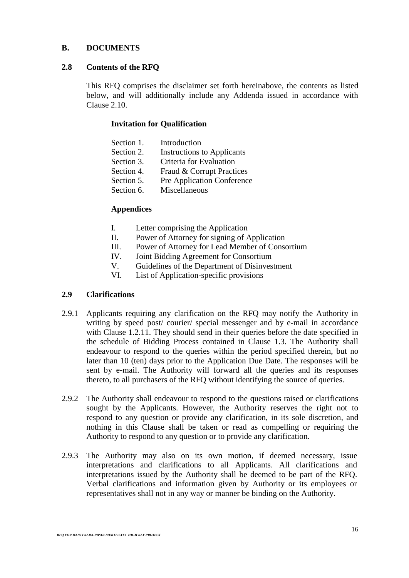## **B. DOCUMENTS**

## **2.8 Contents of the RFQ**

This RFQ comprises the disclaimer set forth hereinabove, the contents as listed below, and will additionally include any Addenda issued in accordance with Clause 2.10.

## **Invitation for Qualification**

| Section 1. | Introduction                      |
|------------|-----------------------------------|
| Section 2. | <b>Instructions to Applicants</b> |
| Section 3. | Criteria for Evaluation           |
| Section 4. | Fraud & Corrupt Practices         |
| Section 5. | <b>Pre Application Conference</b> |
| Section 6. | Miscellaneous                     |
|            |                                   |

## **Appendices**

- I. Letter comprising the Application
- II. Power of Attorney for signing of Application
- III. Power of Attorney for Lead Member of Consortium
- IV. Joint Bidding Agreement for Consortium
- V. Guidelines of the Department of Disinvestment
- VI. List of Application-specific provisions

## **2.9 Clarifications**

- 2.9.1 Applicants requiring any clarification on the RFQ may notify the Authority in writing by speed post/ courier/ special messenger and by e-mail in accordance with Clause 1.2.11. They should send in their queries before the date specified in the schedule of Bidding Process contained in Clause 1.3. The Authority shall endeavour to respond to the queries within the period specified therein, but no later than 10 (ten) days prior to the Application Due Date. The responses will be sent by e-mail. The Authority will forward all the queries and its responses thereto, to all purchasers of the RFQ without identifying the source of queries.
- 2.9.2 The Authority shall endeavour to respond to the questions raised or clarifications sought by the Applicants. However, the Authority reserves the right not to respond to any question or provide any clarification, in its sole discretion, and nothing in this Clause shall be taken or read as compelling or requiring the Authority to respond to any question or to provide any clarification.
- 2.9.3 The Authority may also on its own motion, if deemed necessary, issue interpretations and clarifications to all Applicants. All clarifications and interpretations issued by the Authority shall be deemed to be part of the RFQ. Verbal clarifications and information given by Authority or its employees or representatives shall not in any way or manner be binding on the Authority.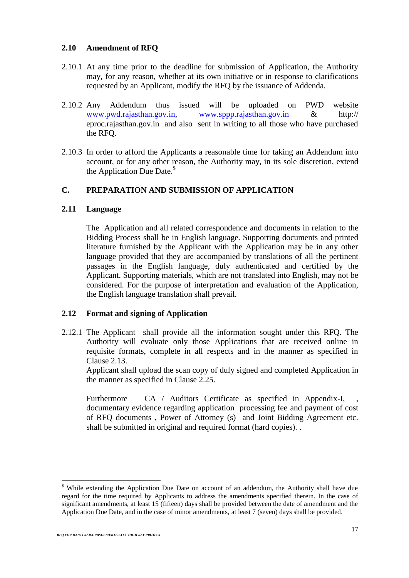## **2.10 Amendment of RFQ**

- 2.10.1 At any time prior to the deadline for submission of Application, the Authority may, for any reason, whether at its own initiative or in response to clarifications requested by an Applicant, modify the RFQ by the issuance of Addenda.
- 2.10.2 Any Addendum thus issued will be uploaded on PWD website [www.pwd.rajasthan.gov.in,](http://www.pwd.rajasthan.gov.in/) [www.sppp.rajasthan.gov.in](http://www.sppp.rajasthan.gov.in/) & http:// eproc.rajasthan.gov.in and also sent in writing to all those who have purchased the RFQ.
- 2.10.3 In order to afford the Applicants a reasonable time for taking an Addendum into account, or for any other reason, the Authority may, in its sole discretion, extend the Application Due Date.<sup>\$</sup>

## **C. PREPARATION AND SUBMISSION OF APPLICATION**

## **2.11 Language**

The Application and all related correspondence and documents in relation to the Bidding Process shall be in English language. Supporting documents and printed literature furnished by the Applicant with the Application may be in any other language provided that they are accompanied by translations of all the pertinent passages in the English language, duly authenticated and certified by the Applicant. Supporting materials, which are not translated into English, may not be considered. For the purpose of interpretation and evaluation of the Application, the English language translation shall prevail.

## **2.12 Format and signing of Application**

2.12.1 The Applicant shall provide all the information sought under this RFQ. The Authority will evaluate only those Applications that are received online in requisite formats, complete in all respects and in the manner as specified in Clause 2.13.

Applicant shall upload the scan copy of duly signed and completed Application in the manner as specified in Clause 2.25.

Furthermore CA / Auditors Certificate as specified in Appendix-I, documentary evidence regarding application processing fee and payment of cost of RFQ documents , Power of Attorney (s) and Joint Bidding Agreement etc. shall be submitted in original and required format (hard copies). .

<sup>\$</sup> While extending the Application Due Date on account of an addendum, the Authority shall have due regard for the time required by Applicants to address the amendments specified therein. In the case of significant amendments, at least 15 (fifteen) days shall be provided between the date of amendment and the Application Due Date, and in the case of minor amendments, at least 7 (seven) days shall be provided.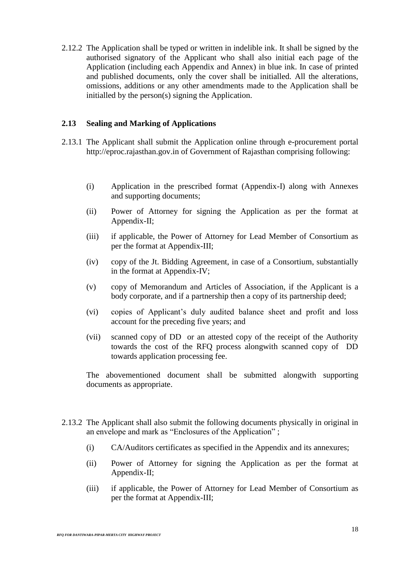2.12.2 The Application shall be typed or written in indelible ink. It shall be signed by the authorised signatory of the Applicant who shall also initial each page of the Application (including each Appendix and Annex) in blue ink. In case of printed and published documents, only the cover shall be initialled. All the alterations, omissions, additions or any other amendments made to the Application shall be initialled by the person(s) signing the Application.

## **2.13 Sealing and Marking of Applications**

- 2.13.1 The Applicant shall submit the Application online through e-procurement portal http://eproc.rajasthan.gov.in of Government of Rajasthan comprising following:
	- (i) Application in the prescribed format (Appendix-I) along with Annexes and supporting documents;
	- (ii) Power of Attorney for signing the Application as per the format at Appendix-II;
	- (iii) if applicable, the Power of Attorney for Lead Member of Consortium as per the format at Appendix-III;
	- (iv) copy of the Jt. Bidding Agreement, in case of a Consortium, substantially in the format at Appendix-IV;
	- (v) copy of Memorandum and Articles of Association, if the Applicant is a body corporate, and if a partnership then a copy of its partnership deed;
	- (vi) copies of Applicant's duly audited balance sheet and profit and loss account for the preceding five years; and
	- (vii) scanned copy of DD or an attested copy of the receipt of the Authority towards the cost of the RFQ process alongwith scanned copy of DD towards application processing fee.

The abovementioned document shall be submitted alongwith supporting documents as appropriate.

- 2.13.2 The Applicant shall also submit the following documents physically in original in an envelope and mark as "Enclosures of the Application" ;
	- (i) CA/Auditors certificates as specified in the Appendix and its annexures;
	- (ii) Power of Attorney for signing the Application as per the format at Appendix-II;
	- (iii) if applicable, the Power of Attorney for Lead Member of Consortium as per the format at Appendix-III;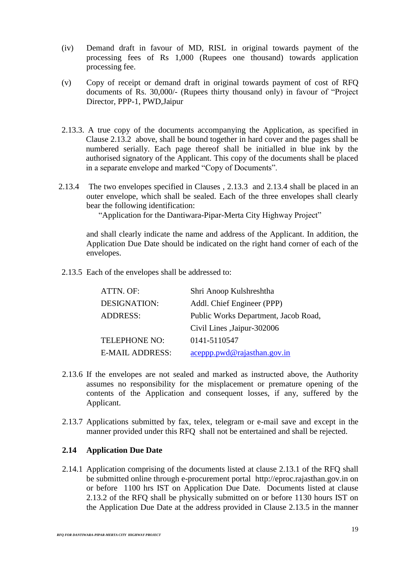- (iv) Demand draft in favour of MD, RISL in original towards payment of the processing fees of Rs 1,000 (Rupees one thousand) towards application processing fee.
- (v) Copy of receipt or demand draft in original towards payment of cost of RFQ documents of Rs. 30,000/- (Rupees thirty thousand only) in favour of "Project Director, PPP-1, PWD,Jaipur
- 2.13.3. A true copy of the documents accompanying the Application, as specified in Clause 2.13.2 above, shall be bound together in hard cover and the pages shall be numbered serially. Each page thereof shall be initialled in blue ink by the authorised signatory of the Applicant. This copy of the documents shall be placed in a separate envelope and marked "Copy of Documents".
- 2.13.4 The two envelopes specified in Clauses , 2.13.3 and 2.13.4 shall be placed in an outer envelope, which shall be sealed. Each of the three envelopes shall clearly bear the following identification:

"Application for the Dantiwara-Pipar-Merta City Highway Project"

and shall clearly indicate the name and address of the Applicant. In addition, the Application Due Date should be indicated on the right hand corner of each of the envelopes.

2.13.5 Each of the envelopes shall be addressed to:

| ATTN. OF:              | Shri Anoop Kulshreshtha              |
|------------------------|--------------------------------------|
| <b>DESIGNATION:</b>    | Addl. Chief Engineer (PPP)           |
| <b>ADDRESS:</b>        | Public Works Department, Jacob Road, |
|                        | Civil Lines , Jaipur-302006          |
| TELEPHONE NO:          | 0141-5110547                         |
| <b>E-MAIL ADDRESS:</b> | $accept$ pwd@rajasthan.gov.in        |

- 2.13.6 If the envelopes are not sealed and marked as instructed above, the Authority assumes no responsibility for the misplacement or premature opening of the contents of the Application and consequent losses, if any, suffered by the Applicant.
- 2.13.7 Applications submitted by fax, telex, telegram or e-mail save and except in the manner provided under this RFQ shall not be entertained and shall be rejected.

## **2.14 Application Due Date**

2.14.1 Application comprising of the documents listed at clause 2.13.1 of the RFQ shall be submitted online through e-procurement portal http://eproc.rajasthan.gov.in on or before 1100 hrs IST on Application Due Date. Documents listed at clause 2.13.2 of the RFQ shall be physically submitted on or before 1130 hours IST on the Application Due Date at the address provided in Clause 2.13.5 in the manner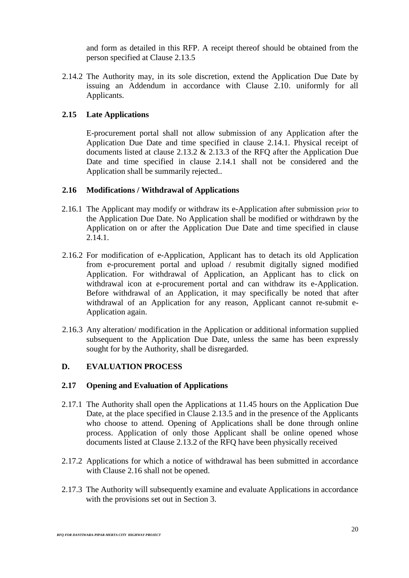and form as detailed in this RFP. A receipt thereof should be obtained from the person specified at Clause 2.13.5

2.14.2 The Authority may, in its sole discretion, extend the Application Due Date by issuing an Addendum in accordance with Clause 2.10. uniformly for all Applicants.

## **2.15 Late Applications**

E-procurement portal shall not allow submission of any Application after the Application Due Date and time specified in clause 2.14.1. Physical receipt of documents listed at clause 2.13.2 & 2.13.3 of the RFQ after the Application Due Date and time specified in clause 2.14.1 shall not be considered and the Application shall be summarily rejected..

#### **2.16 Modifications / Withdrawal of Applications**

- 2.16.1 The Applicant may modify or withdraw its e-Application after submission prior to the Application Due Date. No Application shall be modified or withdrawn by the Application on or after the Application Due Date and time specified in clause 2.14.1.
- 2.16.2 For modification of e-Application, Applicant has to detach its old Application from e-procurement portal and upload / resubmit digitally signed modified Application. For withdrawal of Application, an Applicant has to click on withdrawal icon at e-procurement portal and can withdraw its e-Application. Before withdrawal of an Application, it may specifically be noted that after withdrawal of an Application for any reason, Applicant cannot re-submit e-Application again.
- 2.16.3 Any alteration/ modification in the Application or additional information supplied subsequent to the Application Due Date, unless the same has been expressly sought for by the Authority, shall be disregarded.

## **D. EVALUATION PROCESS**

#### **2.17 Opening and Evaluation of Applications**

- 2.17.1 The Authority shall open the Applications at 11.45 hours on the Application Due Date, at the place specified in Clause 2.13.5 and in the presence of the Applicants who choose to attend. Opening of Applications shall be done through online process. Application of only those Applicant shall be online opened whose documents listed at Clause 2.13.2 of the RFQ have been physically received
- 2.17.2 Applications for which a notice of withdrawal has been submitted in accordance with Clause 2.16 shall not be opened.
- 2.17.3 The Authority will subsequently examine and evaluate Applications in accordance with the provisions set out in Section 3.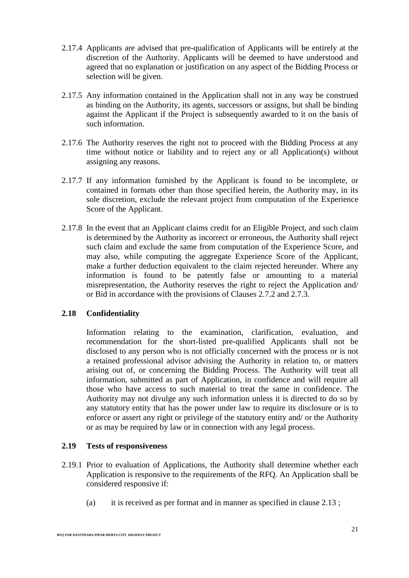- 2.17.4 Applicants are advised that pre-qualification of Applicants will be entirely at the discretion of the Authority. Applicants will be deemed to have understood and agreed that no explanation or justification on any aspect of the Bidding Process or selection will be given.
- 2.17.5 Any information contained in the Application shall not in any way be construed as binding on the Authority, its agents, successors or assigns, but shall be binding against the Applicant if the Project is subsequently awarded to it on the basis of such information.
- 2.17.6 The Authority reserves the right not to proceed with the Bidding Process at any time without notice or liability and to reject any or all Application(s) without assigning any reasons.
- 2.17.7 If any information furnished by the Applicant is found to be incomplete, or contained in formats other than those specified herein, the Authority may, in its sole discretion, exclude the relevant project from computation of the Experience Score of the Applicant.
- 2.17.8 In the event that an Applicant claims credit for an Eligible Project, and such claim is determined by the Authority as incorrect or erroneous, the Authority shall reject such claim and exclude the same from computation of the Experience Score, and may also, while computing the aggregate Experience Score of the Applicant, make a further deduction equivalent to the claim rejected hereunder. Where any information is found to be patently false or amounting to a material misrepresentation, the Authority reserves the right to reject the Application and/ or Bid in accordance with the provisions of Clauses 2.7.2 and 2.7.3.

## **2.18 Confidentiality**

Information relating to the examination, clarification, evaluation, and recommendation for the short-listed pre-qualified Applicants shall not be disclosed to any person who is not officially concerned with the process or is not a retained professional advisor advising the Authority in relation to, or matters arising out of, or concerning the Bidding Process. The Authority will treat all information, submitted as part of Application, in confidence and will require all those who have access to such material to treat the same in confidence. The Authority may not divulge any such information unless it is directed to do so by any statutory entity that has the power under law to require its disclosure or is to enforce or assert any right or privilege of the statutory entity and/ or the Authority or as may be required by law or in connection with any legal process.

## **2.19 Tests of responsiveness**

- 2.19.1 Prior to evaluation of Applications, the Authority shall determine whether each Application is responsive to the requirements of the RFQ. An Application shall be considered responsive if:
	- (a) it is received as per format and in manner as specified in clause 2.13 ;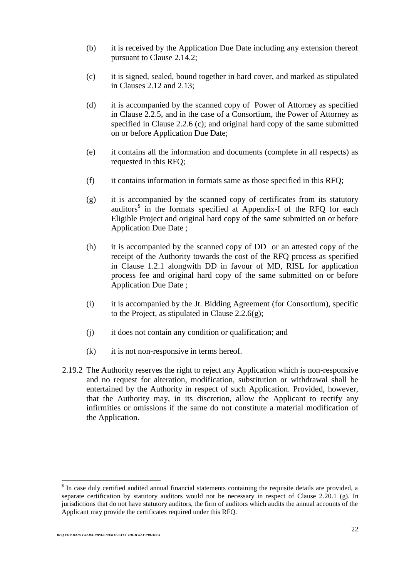- (b) it is received by the Application Due Date including any extension thereof pursuant to Clause 2.14.2;
- (c) it is signed, sealed, bound together in hard cover, and marked as stipulated in Clauses 2.12 and 2.13;
- (d) it is accompanied by the scanned copy of Power of Attorney as specified in Clause 2.2.5, and in the case of a Consortium, the Power of Attorney as specified in Clause 2.2.6 (c); and original hard copy of the same submitted on or before Application Due Date;
- (e) it contains all the information and documents (complete in all respects) as requested in this RFQ;
- (f) it contains information in formats same as those specified in this RFQ;
- (g) it is accompanied by the scanned copy of certificates from its statutory auditors\$ in the formats specified at Appendix-I of the RFQ for each Eligible Project and original hard copy of the same submitted on or before Application Due Date ;
- (h) it is accompanied by the scanned copy of DD or an attested copy of the receipt of the Authority towards the cost of the RFQ process as specified in Clause 1.2.1 alongwith DD in favour of MD, RISL for application process fee and original hard copy of the same submitted on or before Application Due Date ;
- (i) it is accompanied by the Jt. Bidding Agreement (for Consortium), specific to the Project, as stipulated in Clause  $2.2.6(g)$ ;
- (j) it does not contain any condition or qualification; and
- (k) it is not non-responsive in terms hereof.
- 2.19.2 The Authority reserves the right to reject any Application which is non-responsive and no request for alteration, modification, substitution or withdrawal shall be entertained by the Authority in respect of such Application. Provided, however, that the Authority may, in its discretion, allow the Applicant to rectify any infirmities or omissions if the same do not constitute a material modification of the Application.

<sup>&</sup>lt;sup>\$</sup> In case duly certified audited annual financial statements containing the requisite details are provided, a separate certification by statutory auditors would not be necessary in respect of Clause 2.20.1 (g). In jurisdictions that do not have statutory auditors, the firm of auditors which audits the annual accounts of the Applicant may provide the certificates required under this RFQ.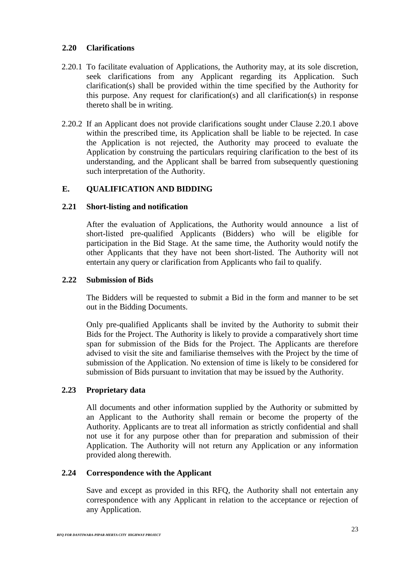## **2.20 Clarifications**

- 2.20.1 To facilitate evaluation of Applications, the Authority may, at its sole discretion, seek clarifications from any Applicant regarding its Application. Such clarification(s) shall be provided within the time specified by the Authority for this purpose. Any request for clarification(s) and all clarification(s) in response thereto shall be in writing.
- 2.20.2 If an Applicant does not provide clarifications sought under Clause 2.20.1 above within the prescribed time, its Application shall be liable to be rejected. In case the Application is not rejected, the Authority may proceed to evaluate the Application by construing the particulars requiring clarification to the best of its understanding, and the Applicant shall be barred from subsequently questioning such interpretation of the Authority.

## **E. QUALIFICATION AND BIDDING**

## **2.21 Short-listing and notification**

After the evaluation of Applications, the Authority would announce a list of short-listed pre-qualified Applicants (Bidders) who will be eligible for participation in the Bid Stage. At the same time, the Authority would notify the other Applicants that they have not been short-listed. The Authority will not entertain any query or clarification from Applicants who fail to qualify.

#### **2.22 Submission of Bids**

The Bidders will be requested to submit a Bid in the form and manner to be set out in the Bidding Documents.

Only pre-qualified Applicants shall be invited by the Authority to submit their Bids for the Project. The Authority is likely to provide a comparatively short time span for submission of the Bids for the Project. The Applicants are therefore advised to visit the site and familiarise themselves with the Project by the time of submission of the Application. No extension of time is likely to be considered for submission of Bids pursuant to invitation that may be issued by the Authority.

## **2.23 Proprietary data**

All documents and other information supplied by the Authority or submitted by an Applicant to the Authority shall remain or become the property of the Authority. Applicants are to treat all information as strictly confidential and shall not use it for any purpose other than for preparation and submission of their Application. The Authority will not return any Application or any information provided along therewith.

## **2.24 Correspondence with the Applicant**

Save and except as provided in this RFQ, the Authority shall not entertain any correspondence with any Applicant in relation to the acceptance or rejection of any Application.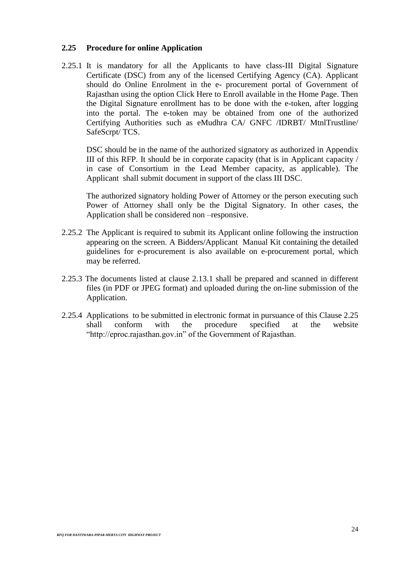#### **2.25 Procedure for online Application**

2.25.1 It is mandatory for all the Applicants to have class-III Digital Signature Certificate (DSC) from any of the licensed Certifying Agency (CA). Applicant should do Online Enrolment in the e- procurement portal of Government of Rajasthan using the option Click Here to Enroll available in the Home Page. Then the Digital Signature enrollment has to be done with the e-token, after logging into the portal. The e-token may be obtained from one of the authorized Certifying Authorities such as eMudhra CA/ GNFC /IDRBT/ MtnlTrustline/ SafeScrpt/ TCS.

DSC should be in the name of the authorized signatory as authorized in Appendix III of this RFP. It should be in corporate capacity (that is in Applicant capacity / in case of Consortium in the Lead Member capacity, as applicable). The Applicant shall submit document in support of the class III DSC.

The authorized signatory holding Power of Attorney or the person executing such Power of Attorney shall only be the Digital Signatory. In other cases, the Application shall be considered non –responsive.

- 2.25.2 The Applicant is required to submit its Applicant online following the instruction appearing on the screen. A Bidders/Applicant Manual Kit containing the detailed guidelines for e-procurement is also available on e-procurement portal, which may be referred.
- 2.25.3 The documents listed at clause 2.13.1 shall be prepared and scanned in different files (in PDF or JPEG format) and uploaded during the on-line submission of the Application.
- 2.25.4 Applications to be submitted in electronic format in pursuance of this Clause 2.25 shall conform with the procedure specified at the website "http://eproc.rajasthan.gov.in" of the Government of Rajasthan.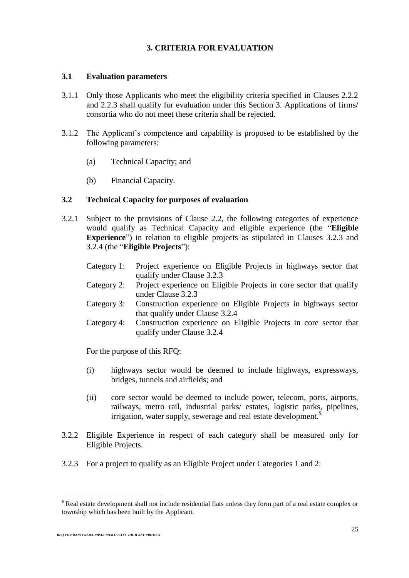## **3. CRITERIA FOR EVALUATION**

## **3.1 Evaluation parameters**

- 3.1.1 Only those Applicants who meet the eligibility criteria specified in Clauses 2.2.2 and 2.2.3 shall qualify for evaluation under this Section 3. Applications of firms/ consortia who do not meet these criteria shall be rejected.
- 3.1.2 The Applicant's competence and capability is proposed to be established by the following parameters:
	- (a) Technical Capacity; and
	- (b) Financial Capacity.

#### **3.2 Technical Capacity for purposes of evaluation**

- 3.2.1 Subject to the provisions of Clause 2.2, the following categories of experience would qualify as Technical Capacity and eligible experience (the "**Eligible Experience**") in relation to eligible projects as stipulated in Clauses 3.2.3 and 3.2.4 (the "**Eligible Projects**"):
	- Category 1: Project experience on Eligible Projects in highways sector that qualify under Clause 3.2.3
	- Category 2: Project experience on Eligible Projects in core sector that qualify under Clause 3.2.3
	- Category 3: Construction experience on Eligible Projects in highways sector that qualify under Clause 3.2.4
	- Category 4: Construction experience on Eligible Projects in core sector that qualify under Clause 3.2.4

For the purpose of this RFQ:

- (i) highways sector would be deemed to include highways, expressways, bridges, tunnels and airfields; and
- (ii) core sector would be deemed to include power, telecom, ports, airports, railways, metro rail, industrial parks/ estates, logistic parks, pipelines, irrigation, water supply, sewerage and real estate development.<sup>\$</sup>
- 3.2.2 Eligible Experience in respect of each category shall be measured only for Eligible Projects.
- 3.2.3 For a project to qualify as an Eligible Project under Categories 1 and 2:

 $<sup>§</sup>$  Real estate development shall not include residential flats unless they form part of a real estate complex or</sup> township which has been built by the Applicant.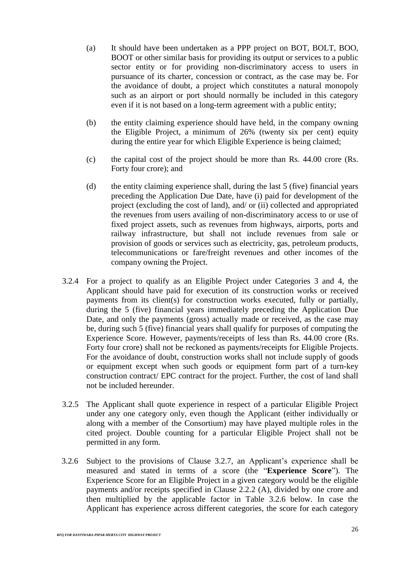- (a) It should have been undertaken as a PPP project on BOT, BOLT, BOO, BOOT or other similar basis for providing its output or services to a public sector entity or for providing non-discriminatory access to users in pursuance of its charter, concession or contract, as the case may be. For the avoidance of doubt, a project which constitutes a natural monopoly such as an airport or port should normally be included in this category even if it is not based on a long-term agreement with a public entity;
- (b) the entity claiming experience should have held, in the company owning the Eligible Project, a minimum of 26% (twenty six per cent) equity during the entire year for which Eligible Experience is being claimed;
- (c) the capital cost of the project should be more than Rs. 44.00 crore (Rs. Forty four crore); and
- (d) the entity claiming experience shall, during the last 5 (five) financial years preceding the Application Due Date, have (i) paid for development of the project (excluding the cost of land), and/ or (ii) collected and appropriated the revenues from users availing of non-discriminatory access to or use of fixed project assets, such as revenues from highways, airports, ports and railway infrastructure, but shall not include revenues from sale or provision of goods or services such as electricity, gas, petroleum products, telecommunications or fare/freight revenues and other incomes of the company owning the Project.
- 3.2.4 For a project to qualify as an Eligible Project under Categories 3 and 4, the Applicant should have paid for execution of its construction works or received payments from its client(s) for construction works executed, fully or partially, during the 5 (five) financial years immediately preceding the Application Due Date, and only the payments (gross) actually made or received, as the case may be, during such 5 (five) financial years shall qualify for purposes of computing the Experience Score. However, payments/receipts of less than Rs. 44.00 crore (Rs. Forty four crore) shall not be reckoned as payments/receipts for Eligible Projects. For the avoidance of doubt, construction works shall not include supply of goods or equipment except when such goods or equipment form part of a turn-key construction contract/ EPC contract for the project. Further, the cost of land shall not be included hereunder.
- 3.2.5 The Applicant shall quote experience in respect of a particular Eligible Project under any one category only, even though the Applicant (either individually or along with a member of the Consortium) may have played multiple roles in the cited project. Double counting for a particular Eligible Project shall not be permitted in any form.
- 3.2.6 Subject to the provisions of Clause 3.2.7, an Applicant's experience shall be measured and stated in terms of a score (the "**Experience Score**"). The Experience Score for an Eligible Project in a given category would be the eligible payments and/or receipts specified in Clause 2.2.2 (A), divided by one crore and then multiplied by the applicable factor in Table 3.2.6 below. In case the Applicant has experience across different categories, the score for each category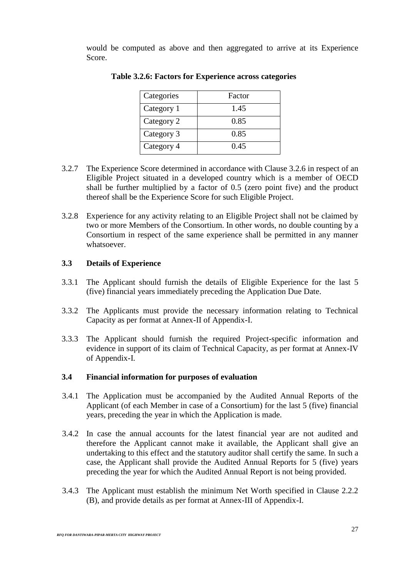would be computed as above and then aggregated to arrive at its Experience Score.

| Categories | Factor |
|------------|--------|
| Category 1 | 1.45   |
| Category 2 | 0.85   |
| Category 3 | 0.85   |
| Category 4 | 0.45   |

**Table 3.2.6: Factors for Experience across categories**

- 3.2.7 The Experience Score determined in accordance with Clause 3.2.6 in respect of an Eligible Project situated in a developed country which is a member of OECD shall be further multiplied by a factor of 0.5 (zero point five) and the product thereof shall be the Experience Score for such Eligible Project.
- 3.2.8 Experience for any activity relating to an Eligible Project shall not be claimed by two or more Members of the Consortium. In other words, no double counting by a Consortium in respect of the same experience shall be permitted in any manner whatsoever.

# **3.3 Details of Experience**

- 3.3.1 The Applicant should furnish the details of Eligible Experience for the last 5 (five) financial years immediately preceding the Application Due Date.
- 3.3.2 The Applicants must provide the necessary information relating to Technical Capacity as per format at Annex-II of Appendix-I.
- 3.3.3 The Applicant should furnish the required Project-specific information and evidence in support of its claim of Technical Capacity, as per format at Annex-IV of Appendix-I.

# **3.4 Financial information for purposes of evaluation**

- 3.4.1 The Application must be accompanied by the Audited Annual Reports of the Applicant (of each Member in case of a Consortium) for the last 5 (five) financial years, preceding the year in which the Application is made.
- 3.4.2 In case the annual accounts for the latest financial year are not audited and therefore the Applicant cannot make it available, the Applicant shall give an undertaking to this effect and the statutory auditor shall certify the same. In such a case, the Applicant shall provide the Audited Annual Reports for 5 (five) years preceding the year for which the Audited Annual Report is not being provided.
- 3.4.3 The Applicant must establish the minimum Net Worth specified in Clause 2.2.2 (B), and provide details as per format at Annex-III of Appendix-I.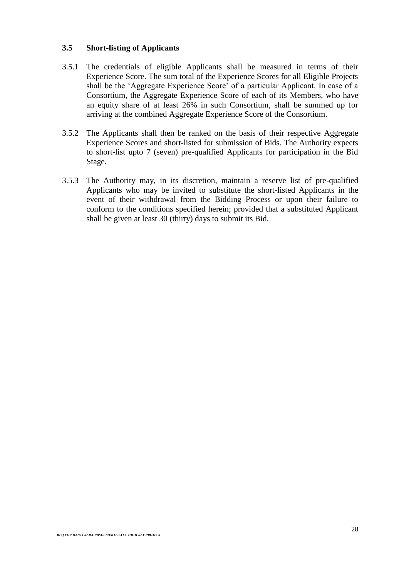# **3.5 Short-listing of Applicants**

- 3.5.1 The credentials of eligible Applicants shall be measured in terms of their Experience Score. The sum total of the Experience Scores for all Eligible Projects shall be the 'Aggregate Experience Score' of a particular Applicant. In case of a Consortium, the Aggregate Experience Score of each of its Members, who have an equity share of at least 26% in such Consortium, shall be summed up for arriving at the combined Aggregate Experience Score of the Consortium.
- 3.5.2 The Applicants shall then be ranked on the basis of their respective Aggregate Experience Scores and short-listed for submission of Bids. The Authority expects to short-list upto 7 (seven) pre-qualified Applicants for participation in the Bid Stage.
- 3.5.3 The Authority may, in its discretion, maintain a reserve list of pre-qualified Applicants who may be invited to substitute the short-listed Applicants in the event of their withdrawal from the Bidding Process or upon their failure to conform to the conditions specified herein; provided that a substituted Applicant shall be given at least 30 (thirty) days to submit its Bid.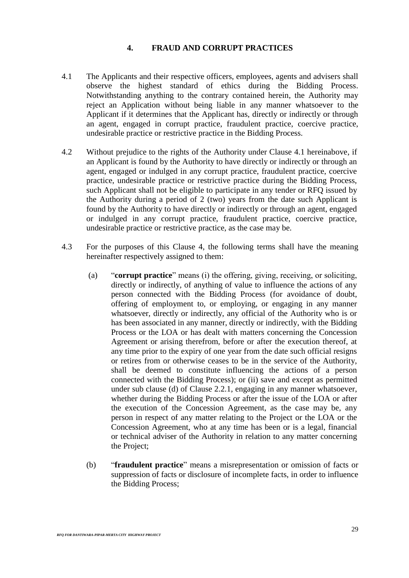# **4. FRAUD AND CORRUPT PRACTICES**

- 4.1 The Applicants and their respective officers, employees, agents and advisers shall observe the highest standard of ethics during the Bidding Process. Notwithstanding anything to the contrary contained herein, the Authority may reject an Application without being liable in any manner whatsoever to the Applicant if it determines that the Applicant has, directly or indirectly or through an agent, engaged in corrupt practice, fraudulent practice, coercive practice, undesirable practice or restrictive practice in the Bidding Process.
- 4.2 Without prejudice to the rights of the Authority under Clause 4.1 hereinabove, if an Applicant is found by the Authority to have directly or indirectly or through an agent, engaged or indulged in any corrupt practice, fraudulent practice, coercive practice, undesirable practice or restrictive practice during the Bidding Process, such Applicant shall not be eligible to participate in any tender or RFQ issued by the Authority during a period of 2 (two) years from the date such Applicant is found by the Authority to have directly or indirectly or through an agent, engaged or indulged in any corrupt practice, fraudulent practice, coercive practice, undesirable practice or restrictive practice, as the case may be.
- 4.3 For the purposes of this Clause 4, the following terms shall have the meaning hereinafter respectively assigned to them:
	- (a) "**corrupt practice**" means (i) the offering, giving, receiving, or soliciting, directly or indirectly, of anything of value to influence the actions of any person connected with the Bidding Process (for avoidance of doubt, offering of employment to, or employing, or engaging in any manner whatsoever, directly or indirectly, any official of the Authority who is or has been associated in any manner, directly or indirectly, with the Bidding Process or the LOA or has dealt with matters concerning the Concession Agreement or arising therefrom, before or after the execution thereof, at any time prior to the expiry of one year from the date such official resigns or retires from or otherwise ceases to be in the service of the Authority, shall be deemed to constitute influencing the actions of a person connected with the Bidding Process); or (ii) save and except as permitted under sub clause (d) of Clause 2.2.1, engaging in any manner whatsoever, whether during the Bidding Process or after the issue of the LOA or after the execution of the Concession Agreement, as the case may be, any person in respect of any matter relating to the Project or the LOA or the Concession Agreement, who at any time has been or is a legal, financial or technical adviser of the Authority in relation to any matter concerning the Project;
	- (b) "**fraudulent practice**" means a misrepresentation or omission of facts or suppression of facts or disclosure of incomplete facts, in order to influence the Bidding Process;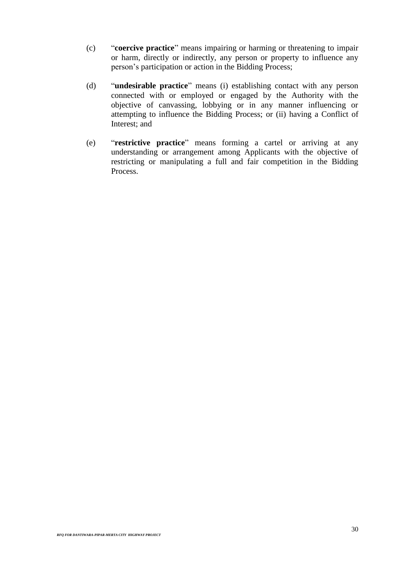- (c) "**coercive practice**" means impairing or harming or threatening to impair or harm, directly or indirectly, any person or property to influence any person's participation or action in the Bidding Process;
- (d) "**undesirable practice**" means (i) establishing contact with any person connected with or employed or engaged by the Authority with the objective of canvassing, lobbying or in any manner influencing or attempting to influence the Bidding Process; or (ii) having a Conflict of Interest; and
- (e) "**restrictive practice**" means forming a cartel or arriving at any understanding or arrangement among Applicants with the objective of restricting or manipulating a full and fair competition in the Bidding Process.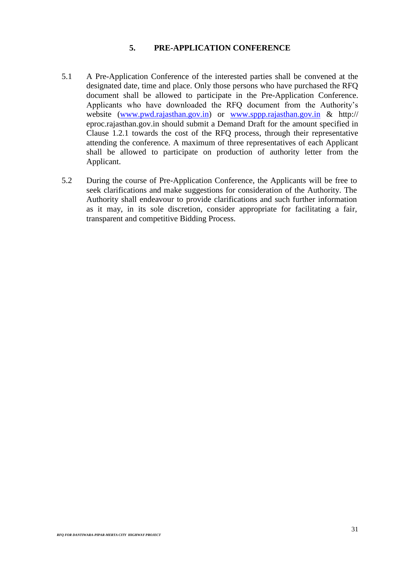# **5. PRE-APPLICATION CONFERENCE**

- 5.1 A Pre-Application Conference of the interested parties shall be convened at the designated date, time and place. Only those persons who have purchased the RFQ document shall be allowed to participate in the Pre-Application Conference. Applicants who have downloaded the RFQ document from the Authority's website [\(www.pwd.rajasthan.gov.in\)](http://www.pwd.rajasthan.gov.in/) or [www.sppp.rajasthan.gov.in](http://www.sppp.rajasthan.gov.in/) & http:// eproc.rajasthan.gov.in should submit a Demand Draft for the amount specified in Clause 1.2.1 towards the cost of the RFQ process, through their representative attending the conference. A maximum of three representatives of each Applicant shall be allowed to participate on production of authority letter from the Applicant.
- 5.2 During the course of Pre-Application Conference, the Applicants will be free to seek clarifications and make suggestions for consideration of the Authority. The Authority shall endeavour to provide clarifications and such further information as it may, in its sole discretion, consider appropriate for facilitating a fair, transparent and competitive Bidding Process.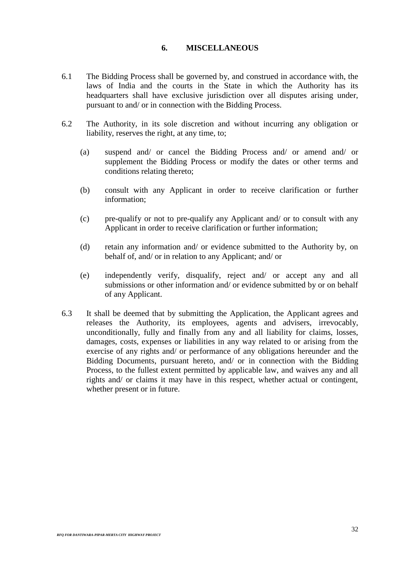#### **6. MISCELLANEOUS**

- 6.1 The Bidding Process shall be governed by, and construed in accordance with, the laws of India and the courts in the State in which the Authority has its headquarters shall have exclusive jurisdiction over all disputes arising under, pursuant to and/ or in connection with the Bidding Process.
- 6.2 The Authority, in its sole discretion and without incurring any obligation or liability, reserves the right, at any time, to;
	- (a) suspend and/ or cancel the Bidding Process and/ or amend and/ or supplement the Bidding Process or modify the dates or other terms and conditions relating thereto;
	- (b) consult with any Applicant in order to receive clarification or further information;
	- (c) pre-qualify or not to pre-qualify any Applicant and/ or to consult with any Applicant in order to receive clarification or further information;
	- (d) retain any information and/ or evidence submitted to the Authority by, on behalf of, and/ or in relation to any Applicant; and/ or
	- (e) independently verify, disqualify, reject and/ or accept any and all submissions or other information and/ or evidence submitted by or on behalf of any Applicant.
- 6.3 It shall be deemed that by submitting the Application, the Applicant agrees and releases the Authority, its employees, agents and advisers, irrevocably, unconditionally, fully and finally from any and all liability for claims, losses, damages, costs, expenses or liabilities in any way related to or arising from the exercise of any rights and/ or performance of any obligations hereunder and the Bidding Documents, pursuant hereto, and/ or in connection with the Bidding Process, to the fullest extent permitted by applicable law, and waives any and all rights and/ or claims it may have in this respect, whether actual or contingent, whether present or in future.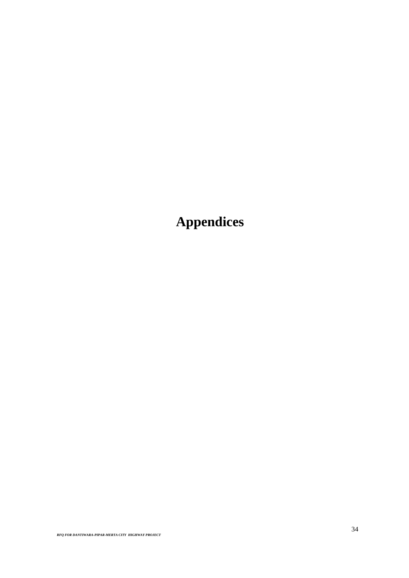**Appendices**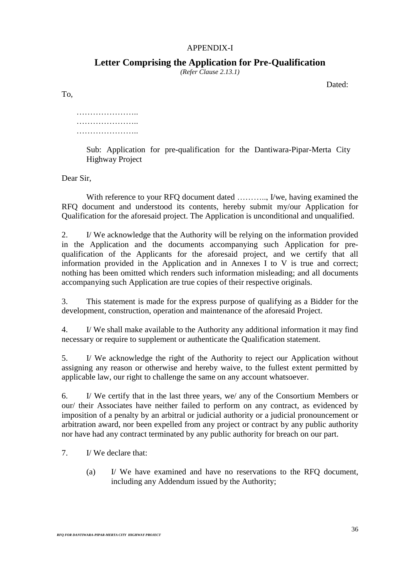# APPENDIX-I

# **Letter Comprising the Application for Pre-Qualification**

*(Refer Clause 2.13.1)*

Dated:

To,

………………….. ………………….. …………………..

> Sub: Application for pre-qualification for the Dantiwara-Pipar-Merta City Highway Project

Dear Sir,

With reference to your RFQ document dated ............, I/we, having examined the RFQ document and understood its contents, hereby submit my/our Application for Qualification for the aforesaid project. The Application is unconditional and unqualified.

2. I/ We acknowledge that the Authority will be relying on the information provided in the Application and the documents accompanying such Application for prequalification of the Applicants for the aforesaid project, and we certify that all information provided in the Application and in Annexes I to V is true and correct; nothing has been omitted which renders such information misleading; and all documents accompanying such Application are true copies of their respective originals.

3. This statement is made for the express purpose of qualifying as a Bidder for the development, construction, operation and maintenance of the aforesaid Project.

4. I/ We shall make available to the Authority any additional information it may find necessary or require to supplement or authenticate the Qualification statement.

5. I/ We acknowledge the right of the Authority to reject our Application without assigning any reason or otherwise and hereby waive, to the fullest extent permitted by applicable law, our right to challenge the same on any account whatsoever.

6. I/ We certify that in the last three years, we/ any of the Consortium Members or our/ their Associates have neither failed to perform on any contract, as evidenced by imposition of a penalty by an arbitral or judicial authority or a judicial pronouncement or arbitration award, nor been expelled from any project or contract by any public authority nor have had any contract terminated by any public authority for breach on our part.

7. I/ We declare that:

(a) I/ We have examined and have no reservations to the RFQ document, including any Addendum issued by the Authority;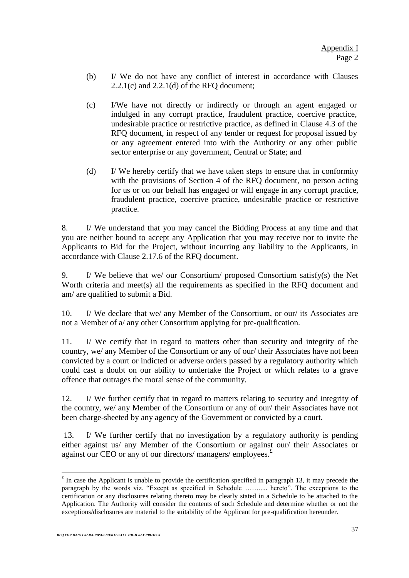- (b) I/ We do not have any conflict of interest in accordance with Clauses 2.2.1(c) and 2.2.1(d) of the RFQ document;
- (c) I/We have not directly or indirectly or through an agent engaged or indulged in any corrupt practice, fraudulent practice, coercive practice, undesirable practice or restrictive practice, as defined in Clause 4.3 of the RFQ document, in respect of any tender or request for proposal issued by or any agreement entered into with the Authority or any other public sector enterprise or any government, Central or State; and
- (d) I/ We hereby certify that we have taken steps to ensure that in conformity with the provisions of Section 4 of the RFQ document, no person acting for us or on our behalf has engaged or will engage in any corrupt practice, fraudulent practice, coercive practice, undesirable practice or restrictive practice.

8. I/ We understand that you may cancel the Bidding Process at any time and that you are neither bound to accept any Application that you may receive nor to invite the Applicants to Bid for the Project, without incurring any liability to the Applicants, in accordance with Clause 2.17.6 of the RFQ document.

9. I/ We believe that we/ our Consortium/ proposed Consortium satisfy(s) the Net Worth criteria and meet(s) all the requirements as specified in the RFQ document and am/ are qualified to submit a Bid.

10. I/ We declare that we/ any Member of the Consortium, or our/ its Associates are not a Member of a/ any other Consortium applying for pre-qualification.

11. I/ We certify that in regard to matters other than security and integrity of the country, we/ any Member of the Consortium or any of our/ their Associates have not been convicted by a court or indicted or adverse orders passed by a regulatory authority which could cast a doubt on our ability to undertake the Project or which relates to a grave offence that outrages the moral sense of the community.

12. I/ We further certify that in regard to matters relating to security and integrity of the country, we/ any Member of the Consortium or any of our/ their Associates have not been charge-sheeted by any agency of the Government or convicted by a court.

13. I/ We further certify that no investigation by a regulatory authority is pending either against us/ any Member of the Consortium or against our/ their Associates or against our CEO or any of our directors/ managers/ employees. $E$ 

 $\overline{a}$ 

 $\epsilon$  In case the Applicant is unable to provide the certification specified in paragraph 13, it may precede the paragraph by the words viz. "Except as specified in Schedule ……..... hereto". The exceptions to the certification or any disclosures relating thereto may be clearly stated in a Schedule to be attached to the Application. The Authority will consider the contents of such Schedule and determine whether or not the exceptions/disclosures are material to the suitability of the Applicant for pre-qualification hereunder.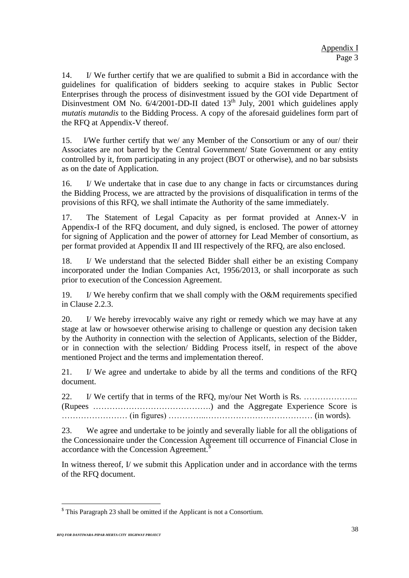14. I/ We further certify that we are qualified to submit a Bid in accordance with the guidelines for qualification of bidders seeking to acquire stakes in Public Sector Enterprises through the process of disinvestment issued by the GOI vide Department of Disinvestment OM No.  $6/4/2001$ -DD-II dated 13<sup>th</sup> July, 2001 which guidelines apply *mutatis mutandis* to the Bidding Process. A copy of the aforesaid guidelines form part of the RFQ at Appendix-V thereof.

15. I/We further certify that we/ any Member of the Consortium or any of our/ their Associates are not barred by the Central Government/ State Government or any entity controlled by it, from participating in any project (BOT or otherwise), and no bar subsists as on the date of Application.

16. I/ We undertake that in case due to any change in facts or circumstances during the Bidding Process, we are attracted by the provisions of disqualification in terms of the provisions of this RFQ, we shall intimate the Authority of the same immediately.

17. The Statement of Legal Capacity as per format provided at Annex-V in Appendix-I of the RFQ document, and duly signed, is enclosed. The power of attorney for signing of Application and the power of attorney for Lead Member of consortium, as per format provided at Appendix II and III respectively of the RFQ, are also enclosed.

18. I/ We understand that the selected Bidder shall either be an existing Company incorporated under the Indian Companies Act, 1956/2013, or shall incorporate as such prior to execution of the Concession Agreement.

19. I/ We hereby confirm that we shall comply with the O&M requirements specified in Clause 2.2.3.

20. I/ We hereby irrevocably waive any right or remedy which we may have at any stage at law or howsoever otherwise arising to challenge or question any decision taken by the Authority in connection with the selection of Applicants, selection of the Bidder, or in connection with the selection/ Bidding Process itself, in respect of the above mentioned Project and the terms and implementation thereof.

21. I/ We agree and undertake to abide by all the terms and conditions of the RFQ document.

22. I/ We certify that in terms of the RFQ, my/our Net Worth is Rs. ……………….. (Rupees …………………………………….) and the Aggregate Experience Score is …………………… (in figures) …………..………………………………… (in words).

23. We agree and undertake to be jointly and severally liable for all the obligations of the Concessionaire under the Concession Agreement till occurrence of Financial Close in accordance with the Concession Agreement.<sup>\$</sup>

In witness thereof, I/ we submit this Application under and in accordance with the terms of the RFQ document.

 $\overline{a}$  $$$  This Paragraph 23 shall be omitted if the Applicant is not a Consortium.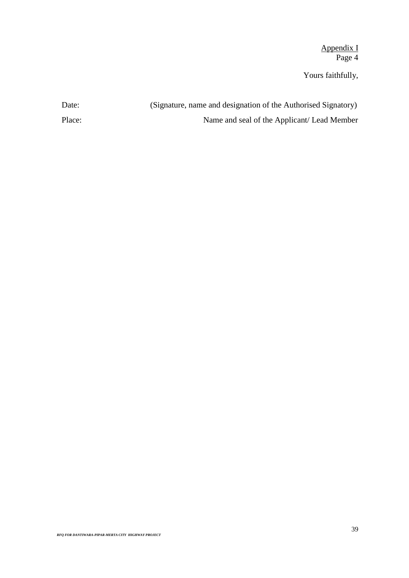Appendix I Page 4

Yours faithfully,

| Date:  | (Signature, name and designation of the Authorised Signatory) |
|--------|---------------------------------------------------------------|
| Place: | Name and seal of the Applicant/Lead Member                    |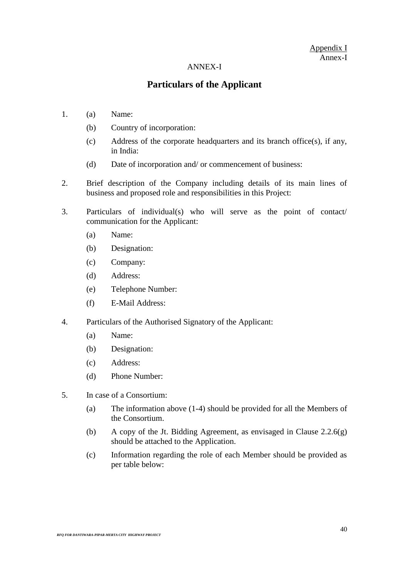# Appendix I Annex-I

#### ANNEX-I

# **Particulars of the Applicant**

- 1. (a) Name:
	- (b) Country of incorporation:
	- (c) Address of the corporate headquarters and its branch office(s), if any, in India:
	- (d) Date of incorporation and/ or commencement of business:
- 2. Brief description of the Company including details of its main lines of business and proposed role and responsibilities in this Project:
- 3. Particulars of individual(s) who will serve as the point of contact/ communication for the Applicant:
	- (a) Name:
	- (b) Designation:
	- (c) Company:
	- (d) Address:
	- (e) Telephone Number:
	- (f) E-Mail Address:
- 4. Particulars of the Authorised Signatory of the Applicant:
	- (a) Name:
	- (b) Designation:
	- (c) Address:
	- (d) Phone Number:
- 5. In case of a Consortium:
	- (a) The information above (1-4) should be provided for all the Members of the Consortium.
	- (b) A copy of the Jt. Bidding Agreement, as envisaged in Clause  $2.2.6(g)$ should be attached to the Application.
	- (c) Information regarding the role of each Member should be provided as per table below: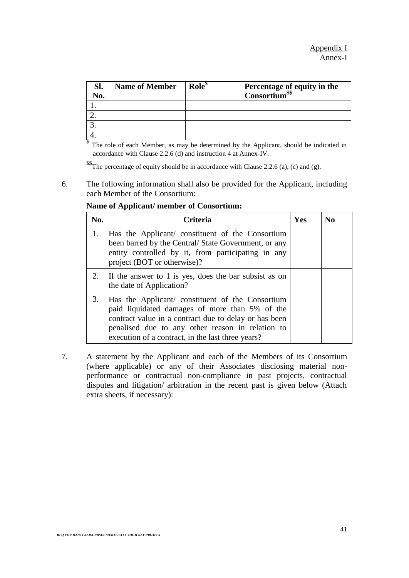| Sl. | <b>Name of Member</b> | Role <sup>\$</sup> | Percentage of equity in the<br>Consortium <sup>\$\$</sup> |
|-----|-----------------------|--------------------|-----------------------------------------------------------|
| No. |                       |                    |                                                           |
|     |                       |                    |                                                           |
|     |                       |                    |                                                           |
|     |                       |                    |                                                           |
|     |                       |                    |                                                           |

<sup>§</sup> The role of each Member, as may be determined by the Applicant, should be indicated in accordance with Clause 2.2.6 (d) and instruction 4 at Annex-IV.

\$\$The percentage of equity should be in accordance with Clause 2.2.6 (a), (c) and (g).

6. The following information shall also be provided for the Applicant, including each Member of the Consortium:

| No. | <b>Criteria</b>                                                                                                                                                                                                                                                      | Yes | N <sub>0</sub> |
|-----|----------------------------------------------------------------------------------------------------------------------------------------------------------------------------------------------------------------------------------------------------------------------|-----|----------------|
| 1.  | Has the Applicant/ constituent of the Consortium<br>been barred by the Central/ State Government, or any<br>entity controlled by it, from participating in any<br>project (BOT or otherwise)?                                                                        |     |                |
| 2.  | If the answer to 1 is yes, does the bar subsist as on<br>the date of Application?                                                                                                                                                                                    |     |                |
| 3.  | Has the Applicant/ constituent of the Consortium<br>paid liquidated damages of more than 5% of the<br>contract value in a contract due to delay or has been<br>penalised due to any other reason in relation to<br>execution of a contract, in the last three years? |     |                |

**Name of Applicant/ member of Consortium:**

7. A statement by the Applicant and each of the Members of its Consortium (where applicable) or any of their Associates disclosing material nonperformance or contractual non-compliance in past projects, contractual disputes and litigation/ arbitration in the recent past is given below (Attach extra sheets, if necessary):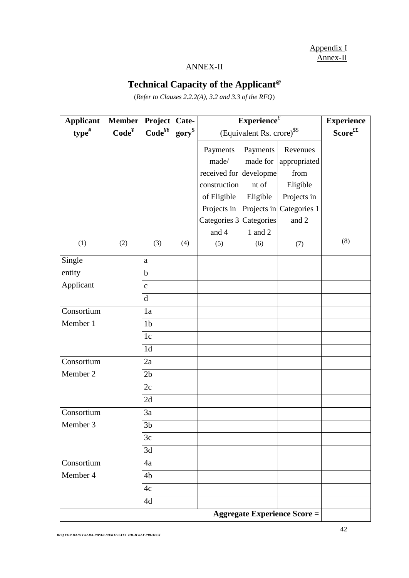Appendix I Annex-II

# ANNEX-II

# **Technical Capacity of the Applicant@**

(*Refer to Clauses 2.2.2(A), 3.2 and 3.3 of the RFQ*)

| <b>Applicant</b> | <b>Member</b>                       | Project            | Cate-       | $\overline{\text{Experimente}^t}$      | <b>Experience</b>            |                          |     |  |  |  |  |
|------------------|-------------------------------------|--------------------|-------------|----------------------------------------|------------------------------|--------------------------|-----|--|--|--|--|
| $type$ #         | Code <sup>Y</sup>                   | Code <sup>yy</sup> | $gory^{\$}$ | (Equivalent Rs. crore) <sup>\$\$</sup> | $\mathbf{Score}^{\text{ff}}$ |                          |     |  |  |  |  |
|                  |                                     |                    |             | Payments                               | Payments                     | Revenues                 |     |  |  |  |  |
|                  |                                     |                    |             | made/                                  | made for                     | appropriated             |     |  |  |  |  |
|                  |                                     |                    |             | received for developme                 |                              | from                     |     |  |  |  |  |
|                  |                                     |                    |             | construction                           | nt of                        | Eligible                 |     |  |  |  |  |
|                  |                                     |                    |             | of Eligible                            | Eligible                     | Projects in              |     |  |  |  |  |
|                  |                                     |                    |             | Projects in                            |                              | Projects in Categories 1 |     |  |  |  |  |
|                  |                                     |                    |             | Categories 3 Categories                |                              | and 2                    |     |  |  |  |  |
|                  |                                     |                    |             | and 4                                  | 1 and 2                      |                          |     |  |  |  |  |
| (1)              | (2)                                 | (3)                | (4)         | (5)                                    | (6)                          | (7)                      | (8) |  |  |  |  |
| Single           |                                     | $\rm{a}$           |             |                                        |                              |                          |     |  |  |  |  |
| entity           |                                     | $\mathbf b$        |             |                                        |                              |                          |     |  |  |  |  |
| Applicant        |                                     | $\mathbf{c}$       |             |                                        |                              |                          |     |  |  |  |  |
|                  |                                     | $\mathbf d$        |             |                                        |                              |                          |     |  |  |  |  |
| Consortium       |                                     | 1a                 |             |                                        |                              |                          |     |  |  |  |  |
| Member 1         |                                     | 1 <sub>b</sub>     |             |                                        |                              |                          |     |  |  |  |  |
|                  |                                     | 1c                 |             |                                        |                              |                          |     |  |  |  |  |
|                  |                                     | 1 <sub>d</sub>     |             |                                        |                              |                          |     |  |  |  |  |
| Consortium       |                                     | 2a                 |             |                                        |                              |                          |     |  |  |  |  |
| Member 2         |                                     | 2 <sub>b</sub>     |             |                                        |                              |                          |     |  |  |  |  |
|                  |                                     | 2c                 |             |                                        |                              |                          |     |  |  |  |  |
|                  |                                     | 2d                 |             |                                        |                              |                          |     |  |  |  |  |
| Consortium       |                                     | 3a                 |             |                                        |                              |                          |     |  |  |  |  |
| Member 3         |                                     | 3 <sub>b</sub>     |             |                                        |                              |                          |     |  |  |  |  |
|                  |                                     | 3c                 |             |                                        |                              |                          |     |  |  |  |  |
|                  |                                     | 3d                 |             |                                        |                              |                          |     |  |  |  |  |
| Consortium       |                                     | 4a                 |             |                                        |                              |                          |     |  |  |  |  |
| Member 4         |                                     | 4b                 |             |                                        |                              |                          |     |  |  |  |  |
|                  |                                     | 4c                 |             |                                        |                              |                          |     |  |  |  |  |
|                  |                                     | 4d                 |             |                                        |                              |                          |     |  |  |  |  |
|                  | <b>Aggregate Experience Score =</b> |                    |             |                                        |                              |                          |     |  |  |  |  |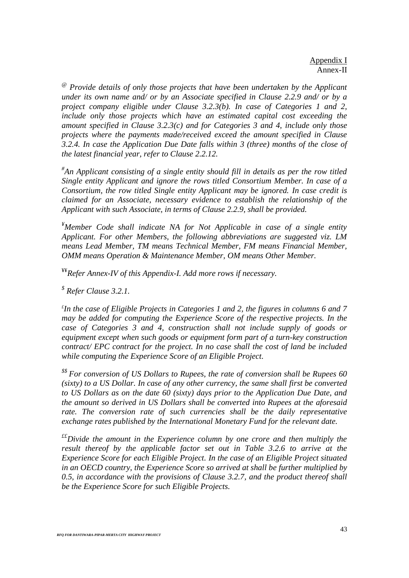*@ Provide details of only those projects that have been undertaken by the Applicant under its own name and/ or by an Associate specified in Clause 2.2.9 and/ or by a project company eligible under Clause 3.2.3(b). In case of Categories 1 and 2, include only those projects which have an estimated capital cost exceeding the amount specified in Clause 3.2.3(c) and for Categories 3 and 4, include only those projects where the payments made/received exceed the amount specified in Clause 3.2.4. In case the Application Due Date falls within 3 (three) months of the close of the latest financial year, refer to Clause 2.2.12.*

*# An Applicant consisting of a single entity should fill in details as per the row titled Single entity Applicant and ignore the rows titled Consortium Member. In case of a Consortium, the row titled Single entity Applicant may be ignored. In case credit is claimed for an Associate, necessary evidence to establish the relationship of the Applicant with such Associate, in terms of Clause 2.2.9, shall be provided.*

*¥Member Code shall indicate NA for Not Applicable in case of a single entity Applicant. For other Members, the following abbreviations are suggested viz. LM means Lead Member, TM means Technical Member, FM means Financial Member, OMM means Operation & Maintenance Member, OM means Other Member.* 

¥¥*Refer Annex-IV of this Appendix-I. Add more rows if necessary.* 

*\$ Refer Clause 3.2.1.*

*£ In the case of Eligible Projects in Categories 1 and 2, the figures in columns 6 and 7 may be added for computing the Experience Score of the respective projects. In the case of Categories 3 and 4, construction shall not include supply of goods or equipment except when such goods or equipment form part of a turn-key construction contract/ EPC contract for the project. In no case shall the cost of land be included while computing the Experience Score of an Eligible Project.*

*\$\$ For conversion of US Dollars to Rupees, the rate of conversion shall be Rupees 60 (sixty) to a US Dollar. In case of any other currency, the same shall first be converted to US Dollars as on the date 60 (sixty) days prior to the Application Due Date, and the amount so derived in US Dollars shall be converted into Rupees at the aforesaid rate. The conversion rate of such currencies shall be the daily representative exchange rates published by the International Monetary Fund for the relevant date.*

*££Divide the amount in the Experience column by one crore and then multiply the result thereof by the applicable factor set out in Table 3.2.6 to arrive at the Experience Score for each Eligible Project. In the case of an Eligible Project situated in an OECD country, the Experience Score so arrived at shall be further multiplied by 0.5, in accordance with the provisions of Clause 3.2.7, and the product thereof shall be the Experience Score for such Eligible Projects.*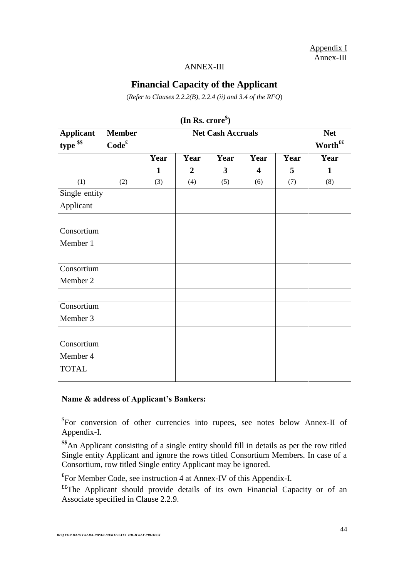Appendix I Annex-III

### ANNEX-III

# **Financial Capacity of the Applicant**

(*Refer to Clauses 2.2.2(B), 2.2.4 (ii) and 3.4 of the RFQ*)

| <b>Applicant</b>       | <b>Member</b>     |      | <b>Net</b>          |      |                         |      |              |
|------------------------|-------------------|------|---------------------|------|-------------------------|------|--------------|
| type \$\$              | Code <sup>f</sup> |      | Worth <sup>ff</sup> |      |                         |      |              |
|                        |                   | Year | Year                | Year | Year                    | Year | Year         |
|                        |                   | 1    | $\boldsymbol{2}$    | 3    | $\overline{\mathbf{4}}$ | 5    | $\mathbf{1}$ |
| (1)                    | (2)               | (3)  | (4)                 | (5)  | (6)                     | (7)  | (8)          |
| Single entity          |                   |      |                     |      |                         |      |              |
| Applicant              |                   |      |                     |      |                         |      |              |
| Consortium             |                   |      |                     |      |                         |      |              |
| Member 1               |                   |      |                     |      |                         |      |              |
| Consortium<br>Member 2 |                   |      |                     |      |                         |      |              |
|                        |                   |      |                     |      |                         |      |              |
| Consortium<br>Member 3 |                   |      |                     |      |                         |      |              |
|                        |                   |      |                     |      |                         |      |              |
| Consortium<br>Member 4 |                   |      |                     |      |                         |      |              |
| <b>TOTAL</b>           |                   |      |                     |      |                         |      |              |

**(In Rs. crore\$ )**

# **Name & address of Applicant's Bankers:**

\$ For conversion of other currencies into rupees, see notes below Annex-II of Appendix-I.

**\$\$**An Applicant consisting of a single entity should fill in details as per the row titled Single entity Applicant and ignore the rows titled Consortium Members. In case of a Consortium, row titled Single entity Applicant may be ignored.

**£** For Member Code, see instruction 4 at Annex-IV of this Appendix-I.

**££**The Applicant should provide details of its own Financial Capacity or of an Associate specified in Clause 2.2.9.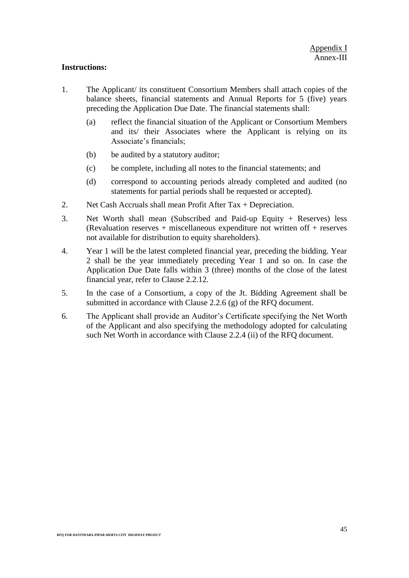# **Instructions:**

- 1. The Applicant/ its constituent Consortium Members shall attach copies of the balance sheets, financial statements and Annual Reports for 5 (five) years preceding the Application Due Date. The financial statements shall:
	- (a) reflect the financial situation of the Applicant or Consortium Members and its/ their Associates where the Applicant is relying on its Associate's financials;
	- (b) be audited by a statutory auditor;
	- (c) be complete, including all notes to the financial statements; and
	- (d) correspond to accounting periods already completed and audited (no statements for partial periods shall be requested or accepted).
- 2. Net Cash Accruals shall mean Profit After Tax + Depreciation.
- 3. Net Worth shall mean (Subscribed and Paid-up Equity + Reserves) less (Revaluation reserves + miscellaneous expenditure not written off + reserves not available for distribution to equity shareholders).
- 4. Year 1 will be the latest completed financial year, preceding the bidding. Year 2 shall be the year immediately preceding Year 1 and so on. In case the Application Due Date falls within 3 (three) months of the close of the latest financial year, refer to Clause 2.2.12.
- 5. In the case of a Consortium, a copy of the Jt. Bidding Agreement shall be submitted in accordance with Clause 2.2.6 (g) of the RFQ document.
- 6. The Applicant shall provide an Auditor's Certificate specifying the Net Worth of the Applicant and also specifying the methodology adopted for calculating such Net Worth in accordance with Clause 2.2.4 (ii) of the RFQ document.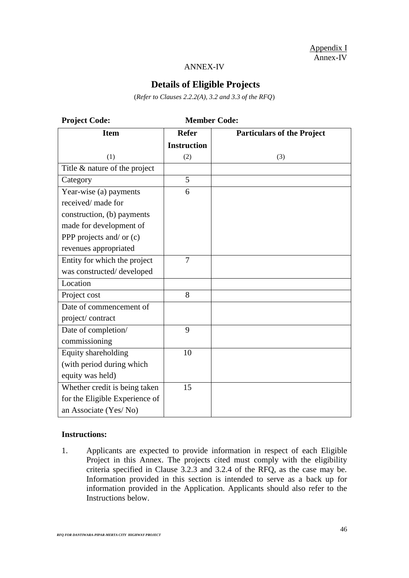Appendix I Annex-IV

#### ANNEX-IV

# **Details of Eligible Projects**

(*Refer to Clauses 2.2.2(A), 3.2 and 3.3 of the RFQ*)

| <b>Project Code:</b>           |                    | <b>Member Code:</b>               |
|--------------------------------|--------------------|-----------------------------------|
| <b>Item</b>                    | <b>Refer</b>       | <b>Particulars of the Project</b> |
|                                | <b>Instruction</b> |                                   |
| (1)                            | (2)                | (3)                               |
| Title & nature of the project  |                    |                                   |
| Category                       | $\overline{5}$     |                                   |
| Year-wise (a) payments         | 6                  |                                   |
| received/ made for             |                    |                                   |
| construction, (b) payments     |                    |                                   |
| made for development of        |                    |                                   |
| PPP projects and/ or $(c)$     |                    |                                   |
| revenues appropriated          |                    |                                   |
| Entity for which the project   | $\overline{7}$     |                                   |
| was constructed/developed      |                    |                                   |
| Location                       |                    |                                   |
| Project cost                   | 8                  |                                   |
| Date of commencement of        |                    |                                   |
| project/contract               |                    |                                   |
| Date of completion/            | 9                  |                                   |
| commissioning                  |                    |                                   |
| Equity shareholding            | 10                 |                                   |
| (with period during which      |                    |                                   |
| equity was held)               |                    |                                   |
| Whether credit is being taken  | 15                 |                                   |
| for the Eligible Experience of |                    |                                   |
| an Associate (Yes/No)          |                    |                                   |

# **Instructions:**

1. Applicants are expected to provide information in respect of each Eligible Project in this Annex. The projects cited must comply with the eligibility criteria specified in Clause 3.2.3 and 3.2.4 of the RFQ, as the case may be. Information provided in this section is intended to serve as a back up for information provided in the Application. Applicants should also refer to the Instructions below.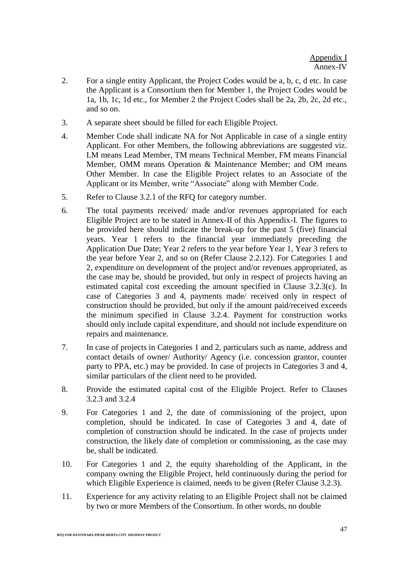- 2. For a single entity Applicant, the Project Codes would be a, b, c, d etc. In case the Applicant is a Consortium then for Member 1, the Project Codes would be 1a, 1b, 1c, 1d etc., for Member 2 the Project Codes shall be 2a, 2b, 2c, 2d etc., and so on.
- 3. A separate sheet should be filled for each Eligible Project.
- 4. Member Code shall indicate NA for Not Applicable in case of a single entity Applicant. For other Members, the following abbreviations are suggested viz. LM means Lead Member, TM means Technical Member, FM means Financial Member, OMM means Operation & Maintenance Member; and OM means Other Member. In case the Eligible Project relates to an Associate of the Applicant or its Member, write "Associate" along with Member Code.
- 5. Refer to Clause 3.2.1 of the RFQ for category number.
- 6. The total payments received/ made and/or revenues appropriated for each Eligible Project are to be stated in Annex-II of this Appendix-I. The figures to be provided here should indicate the break-up for the past 5 (five) financial years. Year 1 refers to the financial year immediately preceding the Application Due Date; Year 2 refers to the year before Year 1, Year 3 refers to the year before Year 2, and so on (Refer Clause 2.2.12). For Categories 1 and 2, expenditure on development of the project and/or revenues appropriated, as the case may be, should be provided, but only in respect of projects having an estimated capital cost exceeding the amount specified in Clause 3.2.3(c). In case of Categories 3 and 4, payments made/ received only in respect of construction should be provided, but only if the amount paid/received exceeds the minimum specified in Clause 3.2.4. Payment for construction works should only include capital expenditure, and should not include expenditure on repairs and maintenance.
- 7. In case of projects in Categories 1 and 2, particulars such as name, address and contact details of owner/ Authority/ Agency (i.e. concession grantor, counter party to PPA, etc.) may be provided. In case of projects in Categories 3 and 4, similar particulars of the client need to be provided.
- 8. Provide the estimated capital cost of the Eligible Project. Refer to Clauses 3.2.3 and 3.2.4
- 9. For Categories 1 and 2, the date of commissioning of the project, upon completion, should be indicated. In case of Categories 3 and 4, date of completion of construction should be indicated. In the case of projects under construction, the likely date of completion or commissioning, as the case may be, shall be indicated.
- 10. For Categories 1 and 2, the equity shareholding of the Applicant, in the company owning the Eligible Project, held continuously during the period for which Eligible Experience is claimed, needs to be given (Refer Clause 3.2.3).
- 11. Experience for any activity relating to an Eligible Project shall not be claimed by two or more Members of the Consortium. In other words, no double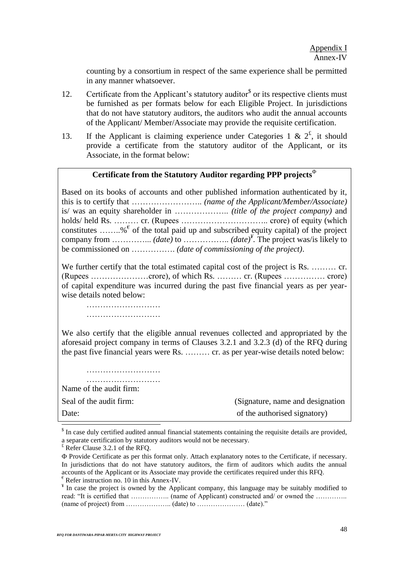counting by a consortium in respect of the same experience shall be permitted in any manner whatsoever.

- 12. Certificate from the Applicant's statutory auditor<sup>\$</sup> or its respective clients must be furnished as per formats below for each Eligible Project. In jurisdictions that do not have statutory auditors, the auditors who audit the annual accounts of the Applicant/ Member/Associate may provide the requisite certification.
- 13. If the Applicant is claiming experience under Categories 1 &  $2^{\xi}$ , it should provide a certificate from the statutory auditor of the Applicant, or its Associate, in the format below:

# **Certificate from the Statutory Auditor regarding PPP projects**

Based on its books of accounts and other published information authenticated by it, this is to certify that …………………….. *(name of the Applicant/Member/Associate)*  is/ was an equity shareholder in ……………….. *(title of the project company)* and holds/ held Rs. ……… cr. (Rupees ………………………….. crore) of equity (which constitutes ........%  $\epsilon$  of the total paid up and subscribed equity capital) of the project company from  $\dots$  *(date)* to  $\dots$  *(date)*<sup> $*$ </sup>. The project was/is likely to be commissioned on ……………. *(date of commissioning of the project)*.

We further certify that the total estimated capital cost of the project is Rs. ......... cr. (Rupees …………………crore), of which Rs. ……… cr. (Rupees …………… crore) of capital expenditure was incurred during the past five financial years as per yearwise details noted below:

……………………… ………………………

We also certify that the eligible annual revenues collected and appropriated by the aforesaid project company in terms of Clauses 3.2.1 and 3.2.3 (d) of the RFQ during the past five financial years were Rs. ……… cr. as per year-wise details noted below:

……………………… ……………………… Name of the audit firm: Seal of the audit firm: (Signature, name and designation) Date: of the authorised signatory)

 $\overline{a}$ 

<sup>&</sup>lt;sup>\$</sup> In case duly certified audited annual financial statements containing the requisite details are provided, a separate certification by statutory auditors would not be necessary.

 $E$ <sup>£</sup> Refer Clause 3.2.1 of the RFQ.

Provide Certificate as per this format only. Attach explanatory notes to the Certificate, if necessary. In jurisdictions that do not have statutory auditors, the firm of auditors which audits the annual accounts of the Applicant or its Associate may provide the certificates required under this RFQ.  $\epsilon$  Refer instruction no. 10 in this Annex-IV.

<sup>&</sup>lt;sup>¥</sup> In case the project is owned by the Applicant company, this language may be suitably modified to read: "It is certified that …………….. (name of Applicant) constructed and/ or owned the ………….. (name of project) from ……………….. (date) to ………………… (date)."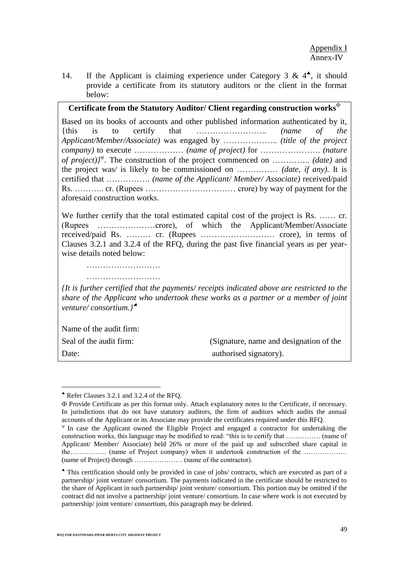14. If the Applicant is claiming experience under Category 3 &  $4^*$ , it should provide a certificate from its statutory auditors or the client in the format below:

# **Certificate from the Statutory Auditor/ Client regarding construction works**

Based on its books of accounts and other published information authenticated by it, {this is to certify that …………………….. *(name of the Applicant/Member/Associate)* was engaged by ……………….. *(title of the project company)* to execute ……………… *(name of project)* for …………………. *(nature of project)}* . The construction of the project commenced on ………….. *(date)* and the project was/ is likely to be commissioned on …………… *(date, if any)*. It is certified that ……………. *(name of the Applicant/ Member/ Associate)* received/paid Rs. ……….. cr. (Rupees …………………………… crore) by way of payment for the aforesaid construction works.

We further certify that the total estimated capital cost of the project is Rs. ...... cr. (Rupees …………………crore), of which the Applicant/Member/Associate received/paid Rs. ……… cr. (Rupees ……………………… crore), in terms of Clauses 3.2.1 and 3.2.4 of the RFQ, during the past five financial years as per yearwise details noted below:

………………………

*{It is further certified that the payments/ receipts indicated above are restricted to the share of the Applicant who undertook these works as a partner or a member of joint venture/ consortium.}*

Name of the audit firm:

 $\overline{a}$ 

Seal of the audit firm: (Signature, name and designation of the Date: authorised signatory).

Refer Clauses 3.2.1 and 3.2.4 of the RFQ.

Provide Certificate as per this format only. Attach explanatory notes to the Certificate, if necessary. In jurisdictions that do not have statutory auditors, the firm of auditors which audits the annual accounts of the Applicant or its Associate may provide the certificates required under this RFQ.

 $\Psi$  In case the Applicant owned the Eligible Project and engaged a contractor for undertaking the construction works, this language may be modified to read: "this is to certify that …………… (name of Applicant/ Member/ Associate) held 26% or more of the paid up and subscribed share capital in the……………. (name of Project company) when it undertook construction of the ………………. (name of Project) through ………………… (name of the contractor).

This certification should only be provided in case of jobs/ contracts, which are executed as part of a partnership/ joint venture/ consortium. The payments indicated in the certificate should be restricted to the share of Applicant in such partnership/ joint venture/ consortium. This portion may be omitted if the contract did not involve a partnership/ joint venture/ consortium. In case where work is not executed by partnership/ joint venture/ consortium, this paragraph may be deleted.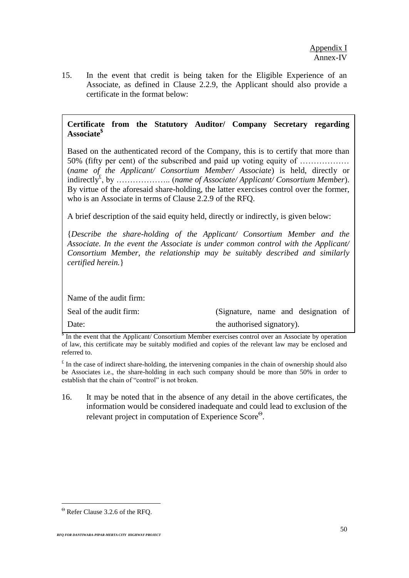15. In the event that credit is being taken for the Eligible Experience of an Associate, as defined in Clause 2.2.9, the Applicant should also provide a certificate in the format below:

# **Certificate from the Statutory Auditor/ Company Secretary regarding Associate\$**

Based on the authenticated record of the Company, this is to certify that more than 50% (fifty per cent) of the subscribed and paid up voting equity of ……………… (*name of the Applicant/ Consortium Member/ Associate*) is held, directly or indirectly£ , by ……………….. (*name of Associate/ Applicant/ Consortium Member*). By virtue of the aforesaid share-holding, the latter exercises control over the former, who is an Associate in terms of Clause 2.2.9 of the RFQ.

A brief description of the said equity held, directly or indirectly, is given below:

{*Describe the share-holding of the Applicant/ Consortium Member and the Associate. In the event the Associate is under common control with the Applicant/ Consortium Member, the relationship may be suitably described and similarly certified herein.*}

Name of the audit firm:

| Seal of the audit firm: | (Signature, name and designation of |  |  |
|-------------------------|-------------------------------------|--|--|
| Date:                   | the authorised signatory).          |  |  |

<sup>§</sup> In the event that the Applicant/ Consortium Member exercises control over an Associate by operation of law, this certificate may be suitably modified and copies of the relevant law may be enclosed and referred to.

 $\epsilon$  In the case of indirect share-holding, the intervening companies in the chain of ownership should also be Associates i.e., the share-holding in each such company should be more than 50% in order to establish that the chain of "control" is not broken.

16. It may be noted that in the absence of any detail in the above certificates, the information would be considered inadequate and could lead to exclusion of the relevant project in computation of Experience Score<sup>®</sup>.

 $\overline{a}$ 

 $\Theta$  Refer Clause 3.2.6 of the RFQ.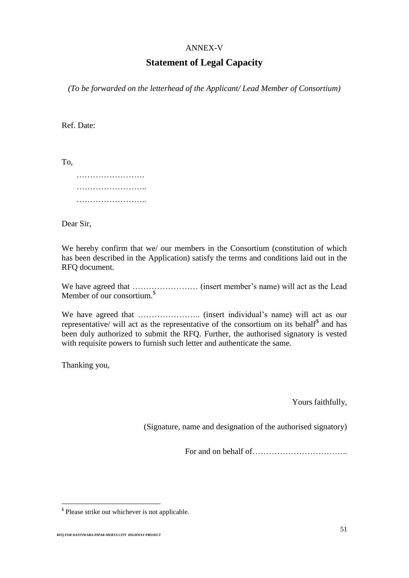#### ANNEX-V

# **Statement of Legal Capacity**

*(To be forwarded on the letterhead of the Applicant/ Lead Member of Consortium)*

Ref. Date:

To,

Dear Sir,

We hereby confirm that we/ our members in the Consortium (constitution of which has been described in the Application) satisfy the terms and conditions laid out in the RFQ document.

We have agreed that …………………… (insert member's name) will act as the Lead Member of our consortium.<sup>\$</sup>

We have agreed that ………………….. (insert individual's name) will act as our representative/ will act as the representative of the consortium on its behalf<sup>\$</sup> and has been duly authorized to submit the RFQ. Further, the authorised signatory is vested with requisite powers to furnish such letter and authenticate the same.

Thanking you,

 $\overline{a}$ 

Yours faithfully,

(Signature, name and designation of the authorised signatory)

For and on behalf of <u>manual contract</u>

<sup>\$</sup> Please strike out whichever is not applicable*.*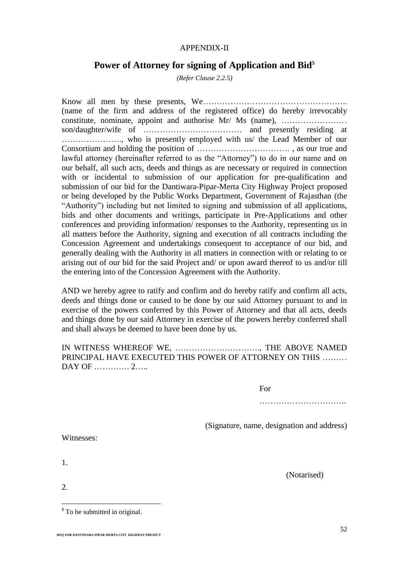# APPENDIX-II

# **Power of Attorney for signing of Application and Bid<sup>§</sup>**

*(Refer Clause 2.2.5)*

Know all men by these presents, We…………………………………………….. (name of the firm and address of the registered office) do hereby irrevocably constitute, nominate, appoint and authorise Mr/ Ms (name), …………………… son/daughter/wife of ……………………………… and presently residing at …………………., who is presently employed with us/ the Lead Member of our Consortium and holding the position of ……………………………. , as our true and lawful attorney (hereinafter referred to as the "Attorney") to do in our name and on our behalf, all such acts, deeds and things as are necessary or required in connection with or incidental to submission of our application for pre-qualification and submission of our bid for the Dantiwara-Pipar-Merta City Highway Project proposed or being developed by the Public Works Department, Government of Rajasthan (the "Authority") including but not limited to signing and submission of all applications, bids and other documents and writings, participate in Pre-Applications and other conferences and providing information/ responses to the Authority, representing us in all matters before the Authority, signing and execution of all contracts including the Concession Agreement and undertakings consequent to acceptance of our bid, and generally dealing with the Authority in all matters in connection with or relating to or arising out of our bid for the said Project and/ or upon award thereof to us and/or till the entering into of the Concession Agreement with the Authority.

AND we hereby agree to ratify and confirm and do hereby ratify and confirm all acts, deeds and things done or caused to be done by our said Attorney pursuant to and in exercise of the powers conferred by this Power of Attorney and that all acts, deeds and things done by our said Attorney in exercise of the powers hereby conferred shall and shall always be deemed to have been done by us.

# IN WITNESS WHEREOF WE, …………………………., THE ABOVE NAMED PRINCIPAL HAVE EXECUTED THIS POWER OF ATTORNEY ON THIS ……… DAY OF …………. 2……

For

………………………………………

(Signature, name, designation and address)

Witnesses:

1.

2.

 $\overline{a}$ 

(Notarised)

<sup>&</sup>lt;sup>\$</sup> To be submitted in original.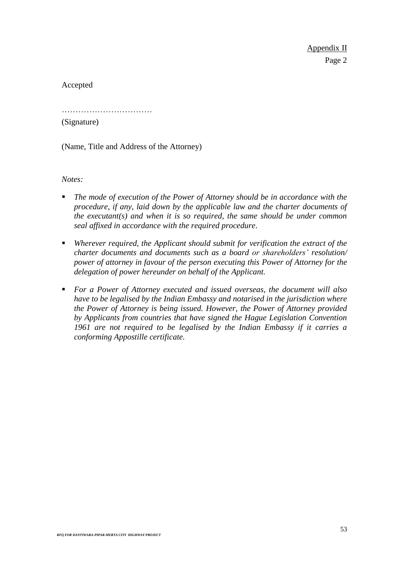Accepted

……………………………

(Signature)

(Name, Title and Address of the Attorney)

*Notes:* 

- *The mode of execution of the Power of Attorney should be in accordance with the procedure, if any, laid down by the applicable law and the charter documents of the executant(s) and when it is so required, the same should be under common seal affixed in accordance with the required procedure*.
- *Wherever required, the Applicant should submit for verification the extract of the charter documents and documents such as a board or shareholders' resolution/ power of attorney in favour of the person executing this Power of Attorney for the delegation of power hereunder on behalf of the Applicant.*
- *For a Power of Attorney executed and issued overseas, the document will also have to be legalised by the Indian Embassy and notarised in the jurisdiction where the Power of Attorney is being issued. However, the Power of Attorney provided by Applicants from countries that have signed the Hague Legislation Convention 1961 are not required to be legalised by the Indian Embassy if it carries a conforming Appostille certificate.*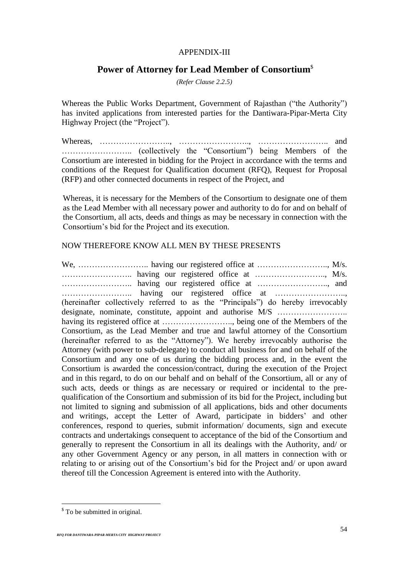### APPENDIX-III

# **Power of Attorney for Lead Member of Consortium**\$

*(Refer Clause 2.2.5)*

Whereas the Public Works Department, Government of Rajasthan ("the Authority") has invited applications from interested parties for the Dantiwara-Pipar-Merta City Highway Project (the "Project").

Whereas, …………………….., …………………….., …………………….. and …………………….. (collectively the "Consortium") being Members of the Consortium are interested in bidding for the Project in accordance with the terms and conditions of the Request for Qualification document (RFQ), Request for Proposal (RFP) and other connected documents in respect of the Project, and

Whereas, it is necessary for the Members of the Consortium to designate one of them as the Lead Member with all necessary power and authority to do for and on behalf of the Consortium, all acts, deeds and things as may be necessary in connection with the Consortium's bid for the Project and its execution.

# NOW THEREFORE KNOW ALL MEN BY THESE PRESENTS

We, …………………….. having our registered office at …………………….., M/s. …………………….. having our registered office at …………………….., M/s. …………………….. having our registered office at …………………….., and …………………….. having our registered office at …………………….., (hereinafter collectively referred to as the "Principals") do hereby irrevocably designate, nominate, constitute, appoint and authorise M/S ...................... having its registered office at …………………….., being one of the Members of the Consortium, as the Lead Member and true and lawful attorney of the Consortium (hereinafter referred to as the "Attorney"). We hereby irrevocably authorise the Attorney (with power to sub-delegate) to conduct all business for and on behalf of the Consortium and any one of us during the bidding process and, in the event the Consortium is awarded the concession/contract, during the execution of the Project and in this regard, to do on our behalf and on behalf of the Consortium, all or any of such acts, deeds or things as are necessary or required or incidental to the prequalification of the Consortium and submission of its bid for the Project, including but not limited to signing and submission of all applications, bids and other documents and writings, accept the Letter of Award, participate in bidders' and other conferences, respond to queries, submit information/ documents, sign and execute contracts and undertakings consequent to acceptance of the bid of the Consortium and generally to represent the Consortium in all its dealings with the Authority, and/ or any other Government Agency or any person, in all matters in connection with or relating to or arising out of the Consortium's bid for the Project and/ or upon award thereof till the Concession Agreement is entered into with the Authority.

 $\overline{a}$ 

<sup>&</sup>lt;sup>\$</sup> To be submitted in original.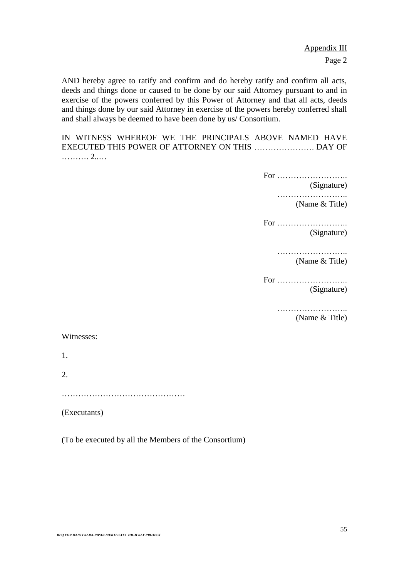Appendix III Page 2

AND hereby agree to ratify and confirm and do hereby ratify and confirm all acts, deeds and things done or caused to be done by our said Attorney pursuant to and in exercise of the powers conferred by this Power of Attorney and that all acts, deeds and things done by our said Attorney in exercise of the powers hereby conferred shall and shall always be deemed to have been done by us/ Consortium.

IN WITNESS WHEREOF WE THE PRINCIPALS ABOVE NAMED HAVE EXECUTED THIS POWER OF ATTORNEY ON THIS …………………. DAY OF ………. 2..…

For ……………………..

(Signature)

…………………….. (Name & Title)

For …………………….. (Signature)

> …………………………… (Name & Title)

For …………………….. (Signature)

……………………..

(Name & Title)

#### Witnesses:

1.

2.

………………………………………

(Executants)

(To be executed by all the Members of the Consortium)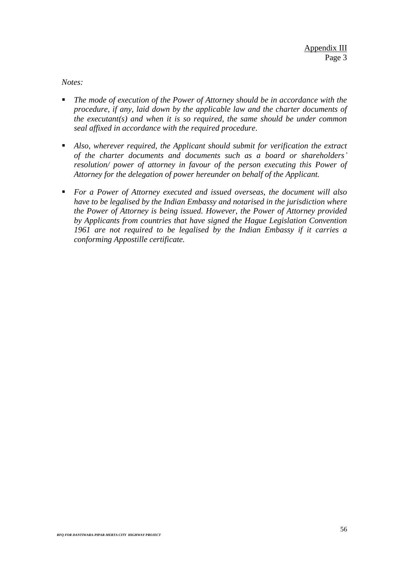*Notes:*

- The mode of execution of the Power of Attorney should be in accordance with the *procedure, if any, laid down by the applicable law and the charter documents of the executant(s) and when it is so required, the same should be under common seal affixed in accordance with the required procedure*.
- *Also, wherever required, the Applicant should submit for verification the extract of the charter documents and documents such as a board or shareholders' resolution/ power of attorney in favour of the person executing this Power of Attorney for the delegation of power hereunder on behalf of the Applicant.*
- *For a Power of Attorney executed and issued overseas, the document will also have to be legalised by the Indian Embassy and notarised in the jurisdiction where the Power of Attorney is being issued. However, the Power of Attorney provided by Applicants from countries that have signed the Hague Legislation Convention 1961 are not required to be legalised by the Indian Embassy if it carries a conforming Appostille certificate.*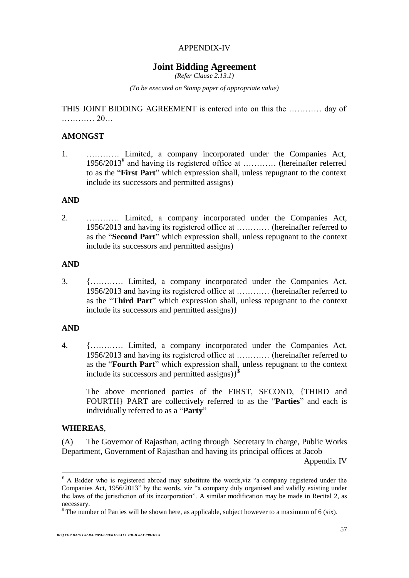# APPENDIX-IV

# **Joint Bidding Agreement**

*(Refer Clause 2.13.1)*

*(To be executed on Stamp paper of appropriate value)*

THIS JOINT BIDDING AGREEMENT is entered into on this the ………… day of ………… 20…

# **AMONGST**

1. ………… Limited, a company incorporated under the Companies Act, 1956/2013<sup>¥</sup> and having its registered office at ............ (hereinafter referred to as the "**First Part**" which expression shall, unless repugnant to the context include its successors and permitted assigns)

# **AND**

2. ………… Limited, a company incorporated under the Companies Act, 1956/2013 and having its registered office at ………… (hereinafter referred to as the "**Second Part**" which expression shall, unless repugnant to the context include its successors and permitted assigns)

#### **AND**

3. {………… Limited, a company incorporated under the Companies Act, 1956/2013 and having its registered office at ………… (hereinafter referred to as the "**Third Part**" which expression shall, unless repugnant to the context include its successors and permitted assigns)}

#### **AND**

4. {………… Limited, a company incorporated under the Companies Act, 1956/2013 and having its registered office at ………… (hereinafter referred to as the "**Fourth Part**" which expression shall, unless repugnant to the context include its successors and permitted assigns)}<sup>\$</sup>

The above mentioned parties of the FIRST, SECOND, {THIRD and FOURTH} PART are collectively referred to as the "**Parties**" and each is individually referred to as a "**Party**"

#### **WHEREAS**,

 $\overline{a}$ 

(A) The Governor of Rajasthan, acting through Secretary in charge, Public Works Department, Government of Rajasthan and having its principal offices at Jacob

Appendix IV

 $*$  A Bidder who is registered abroad may substitute the words, viz "a company registered under the Companies Act, 1956/2013" by the words, viz "a company duly organised and validly existing under the laws of the jurisdiction of its incorporation". A similar modification may be made in Recital 2, as necessary.

 $\textsuperscript{s}$  The number of Parties will be shown here, as applicable, subject however to a maximum of 6 (six).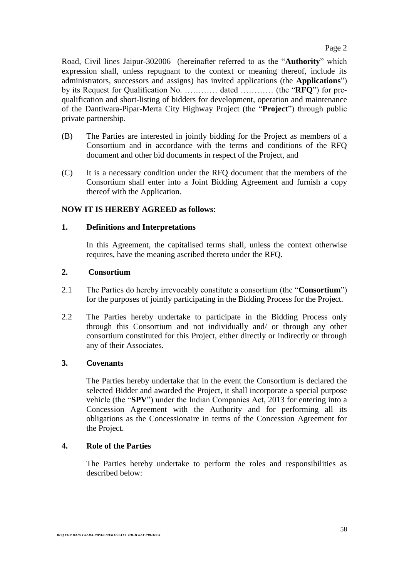Road, Civil lines Jaipur-302006 (hereinafter referred to as the "**Authority**" which expression shall, unless repugnant to the context or meaning thereof, include its administrators, successors and assigns) has invited applications (the **Applications**") by its Request for Qualification No. ………… dated ………… (the "**RFQ**") for prequalification and short-listing of bidders for development, operation and maintenance of the Dantiwara-Pipar-Merta City Highway Project (the "**Project**") through public private partnership.

- (B) The Parties are interested in jointly bidding for the Project as members of a Consortium and in accordance with the terms and conditions of the RFQ document and other bid documents in respect of the Project, and
- (C) It is a necessary condition under the RFQ document that the members of the Consortium shall enter into a Joint Bidding Agreement and furnish a copy thereof with the Application.

# **NOW IT IS HEREBY AGREED as follows**:

# **1. Definitions and Interpretations**

In this Agreement, the capitalised terms shall, unless the context otherwise requires, have the meaning ascribed thereto under the RFQ.

### **2. Consortium**

- 2.1 The Parties do hereby irrevocably constitute a consortium (the "**Consortium**") for the purposes of jointly participating in the Bidding Process for the Project.
- 2.2 The Parties hereby undertake to participate in the Bidding Process only through this Consortium and not individually and/ or through any other consortium constituted for this Project, either directly or indirectly or through any of their Associates.

# **3. Covenants**

The Parties hereby undertake that in the event the Consortium is declared the selected Bidder and awarded the Project, it shall incorporate a special purpose vehicle (the "**SPV**") under the Indian Companies Act, 2013 for entering into a Concession Agreement with the Authority and for performing all its obligations as the Concessionaire in terms of the Concession Agreement for the Project.

# **4. Role of the Parties**

The Parties hereby undertake to perform the roles and responsibilities as described below: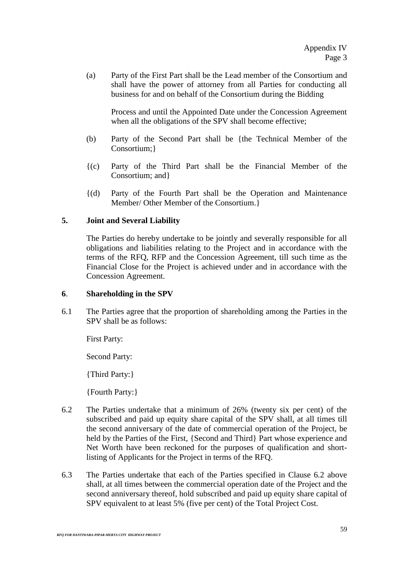(a) Party of the First Part shall be the Lead member of the Consortium and shall have the power of attorney from all Parties for conducting all business for and on behalf of the Consortium during the Bidding

Process and until the Appointed Date under the Concession Agreement when all the obligations of the SPV shall become effective;

- (b) Party of the Second Part shall be {the Technical Member of the Consortium;}
- {(c) Party of the Third Part shall be the Financial Member of the Consortium; and}
- {(d) Party of the Fourth Part shall be the Operation and Maintenance Member/ Other Member of the Consortium.}

# **5. Joint and Several Liability**

The Parties do hereby undertake to be jointly and severally responsible for all obligations and liabilities relating to the Project and in accordance with the terms of the RFQ, RFP and the Concession Agreement, till such time as the Financial Close for the Project is achieved under and in accordance with the Concession Agreement.

# **6**. **Shareholding in the SPV**

6.1 The Parties agree that the proportion of shareholding among the Parties in the SPV shall be as follows:

First Party:

Second Party:

{Third Party:}

{Fourth Party:}

- 6.2 The Parties undertake that a minimum of 26% (twenty six per cent) of the subscribed and paid up equity share capital of the SPV shall, at all times till the second anniversary of the date of commercial operation of the Project, be held by the Parties of the First, {Second and Third} Part whose experience and Net Worth have been reckoned for the purposes of qualification and shortlisting of Applicants for the Project in terms of the RFQ.
- 6.3 The Parties undertake that each of the Parties specified in Clause 6.2 above shall, at all times between the commercial operation date of the Project and the second anniversary thereof, hold subscribed and paid up equity share capital of SPV equivalent to at least 5% (five per cent) of the Total Project Cost.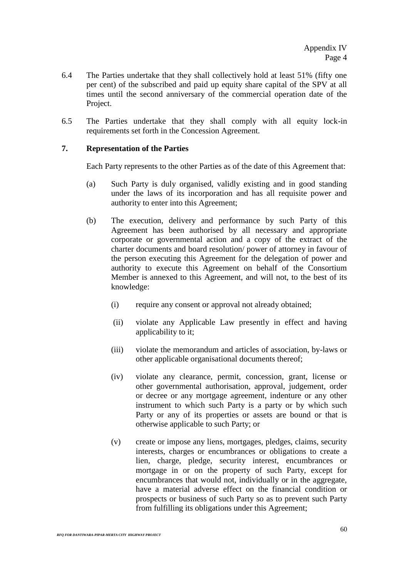- 6.4 The Parties undertake that they shall collectively hold at least 51% (fifty one per cent) of the subscribed and paid up equity share capital of the SPV at all times until the second anniversary of the commercial operation date of the Project.
- 6.5 The Parties undertake that they shall comply with all equity lock-in requirements set forth in the Concession Agreement.

### **7. Representation of the Parties**

Each Party represents to the other Parties as of the date of this Agreement that:

- (a) Such Party is duly organised, validly existing and in good standing under the laws of its incorporation and has all requisite power and authority to enter into this Agreement;
- (b) The execution, delivery and performance by such Party of this Agreement has been authorised by all necessary and appropriate corporate or governmental action and a copy of the extract of the charter documents and board resolution/ power of attorney in favour of the person executing this Agreement for the delegation of power and authority to execute this Agreement on behalf of the Consortium Member is annexed to this Agreement, and will not, to the best of its knowledge:
	- (i) require any consent or approval not already obtained;
	- (ii) violate any Applicable Law presently in effect and having applicability to it;
	- (iii) violate the memorandum and articles of association, by-laws or other applicable organisational documents thereof;
	- (iv) violate any clearance, permit, concession, grant, license or other governmental authorisation, approval, judgement, order or decree or any mortgage agreement, indenture or any other instrument to which such Party is a party or by which such Party or any of its properties or assets are bound or that is otherwise applicable to such Party; or
	- (v) create or impose any liens, mortgages, pledges, claims, security interests, charges or encumbrances or obligations to create a lien, charge, pledge, security interest, encumbrances or mortgage in or on the property of such Party, except for encumbrances that would not, individually or in the aggregate, have a material adverse effect on the financial condition or prospects or business of such Party so as to prevent such Party from fulfilling its obligations under this Agreement;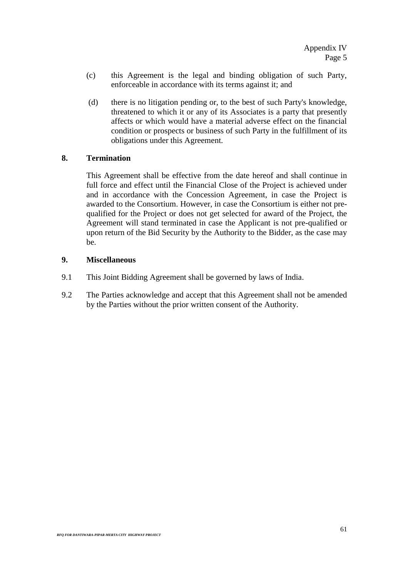- (c) this Agreement is the legal and binding obligation of such Party, enforceable in accordance with its terms against it; and
- (d) there is no litigation pending or, to the best of such Party's knowledge, threatened to which it or any of its Associates is a party that presently affects or which would have a material adverse effect on the financial condition or prospects or business of such Party in the fulfillment of its obligations under this Agreement.

# **8. Termination**

This Agreement shall be effective from the date hereof and shall continue in full force and effect until the Financial Close of the Project is achieved under and in accordance with the Concession Agreement, in case the Project is awarded to the Consortium. However, in case the Consortium is either not prequalified for the Project or does not get selected for award of the Project, the Agreement will stand terminated in case the Applicant is not pre-qualified or upon return of the Bid Security by the Authority to the Bidder, as the case may be.

# **9. Miscellaneous**

- 9.1 This Joint Bidding Agreement shall be governed by laws of India.
- 9.2 The Parties acknowledge and accept that this Agreement shall not be amended by the Parties without the prior written consent of the Authority.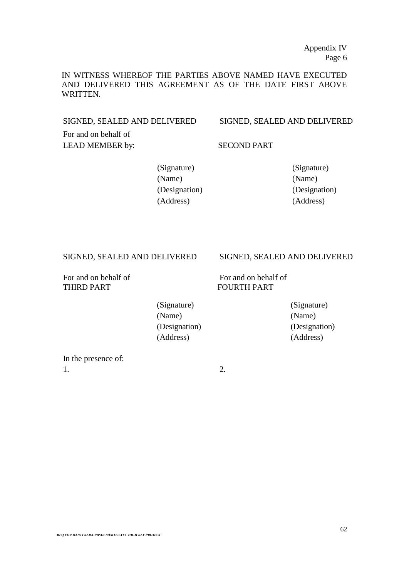IN WITNESS WHEREOF THE PARTIES ABOVE NAMED HAVE EXECUTED AND DELIVERED THIS AGREEMENT AS OF THE DATE FIRST ABOVE WRITTEN.

SIGNED, SEALED AND DELIVERED SIGNED, SEALED AND DELIVERED

For and on behalf of LEAD MEMBER by: SECOND PART

(Signature) (Signature) (Name) (Name) (Designation) (Designation) (Address) (Address)

THIRD PART FOURTH PART

#### SIGNED, SEALED AND DELIVERED SIGNED, SEALED AND DELIVERED

For and on behalf of For and on behalf of

(Signature) (Signature) (Name) (Name) (Designation) (Designation) (Address) (Address)

In the presence of:  $1.$  2.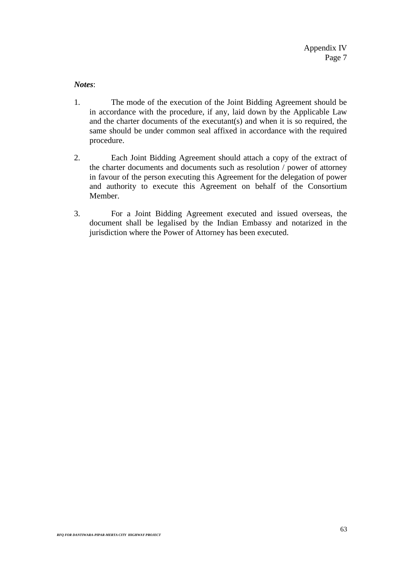*Notes*:

- 1. The mode of the execution of the Joint Bidding Agreement should be in accordance with the procedure, if any, laid down by the Applicable Law and the charter documents of the executant(s) and when it is so required, the same should be under common seal affixed in accordance with the required procedure.
- 2. Each Joint Bidding Agreement should attach a copy of the extract of the charter documents and documents such as resolution / power of attorney in favour of the person executing this Agreement for the delegation of power and authority to execute this Agreement on behalf of the Consortium Member.
- 3. For a Joint Bidding Agreement executed and issued overseas, the document shall be legalised by the Indian Embassy and notarized in the jurisdiction where the Power of Attorney has been executed.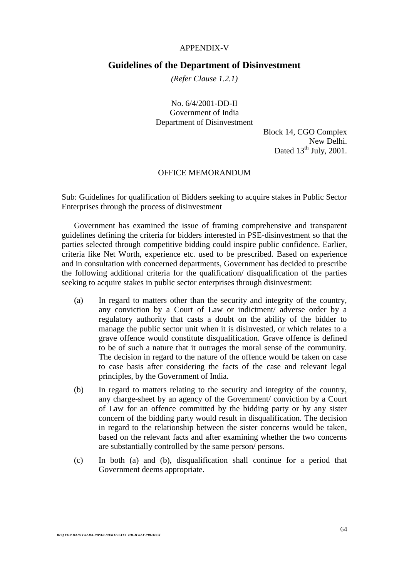#### APPENDIX-V

### **Guidelines of the Department of Disinvestment**

*(Refer Clause 1.2.1)*

No. 6/4/2001-DD-II Government of India Department of Disinvestment

> Block 14, CGO Complex New Delhi. Dated  $13^{th}$  July, 2001.

### OFFICE MEMORANDUM

Sub: Guidelines for qualification of Bidders seeking to acquire stakes in Public Sector Enterprises through the process of disinvestment

Government has examined the issue of framing comprehensive and transparent guidelines defining the criteria for bidders interested in PSE-disinvestment so that the parties selected through competitive bidding could inspire public confidence. Earlier, criteria like Net Worth, experience etc. used to be prescribed. Based on experience and in consultation with concerned departments, Government has decided to prescribe the following additional criteria for the qualification/ disqualification of the parties seeking to acquire stakes in public sector enterprises through disinvestment:

- (a) In regard to matters other than the security and integrity of the country, any conviction by a Court of Law or indictment/ adverse order by a regulatory authority that casts a doubt on the ability of the bidder to manage the public sector unit when it is disinvested, or which relates to a grave offence would constitute disqualification. Grave offence is defined to be of such a nature that it outrages the moral sense of the community. The decision in regard to the nature of the offence would be taken on case to case basis after considering the facts of the case and relevant legal principles, by the Government of India.
- (b) In regard to matters relating to the security and integrity of the country, any charge-sheet by an agency of the Government/ conviction by a Court of Law for an offence committed by the bidding party or by any sister concern of the bidding party would result in disqualification. The decision in regard to the relationship between the sister concerns would be taken, based on the relevant facts and after examining whether the two concerns are substantially controlled by the same person/ persons.
- (c) In both (a) and (b), disqualification shall continue for a period that Government deems appropriate.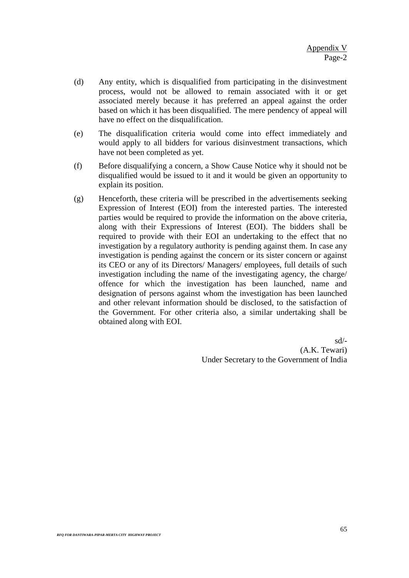- (d) Any entity, which is disqualified from participating in the disinvestment process, would not be allowed to remain associated with it or get associated merely because it has preferred an appeal against the order based on which it has been disqualified. The mere pendency of appeal will have no effect on the disqualification.
- (e) The disqualification criteria would come into effect immediately and would apply to all bidders for various disinvestment transactions, which have not been completed as yet.
- (f) Before disqualifying a concern, a Show Cause Notice why it should not be disqualified would be issued to it and it would be given an opportunity to explain its position.
- (g) Henceforth, these criteria will be prescribed in the advertisements seeking Expression of Interest (EOI) from the interested parties. The interested parties would be required to provide the information on the above criteria, along with their Expressions of Interest (EOI). The bidders shall be required to provide with their EOI an undertaking to the effect that no investigation by a regulatory authority is pending against them. In case any investigation is pending against the concern or its sister concern or against its CEO or any of its Directors/ Managers/ employees, full details of such investigation including the name of the investigating agency, the charge/ offence for which the investigation has been launched, name and designation of persons against whom the investigation has been launched and other relevant information should be disclosed, to the satisfaction of the Government. For other criteria also, a similar undertaking shall be obtained along with EOI.

sd/- (A.K. Tewari) Under Secretary to the Government of India